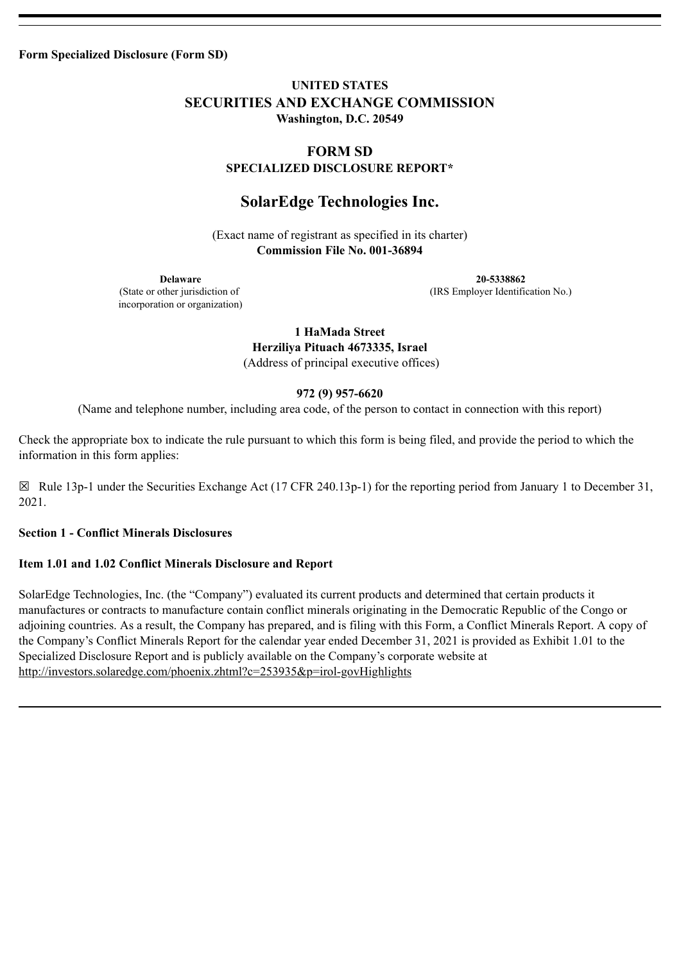**Form Specialized Disclosure (Form SD)**

## **UNITED STATES SECURITIES AND EXCHANGE COMMISSION Washington, D.C. 20549**

# **FORM SD SPECIALIZED DISCLOSURE REPORT\***

# **SolarEdge Technologies Inc.**

(Exact name of registrant as specified in its charter) **Commission File No. 001-36894**

incorporation or organization)

**Delaware 20-5338862** (State or other jurisdiction of (IRS Employer Identification No.)

> **1 HaMada Street Herziliya Pituach 4673335, Israel** (Address of principal executive offices)

### **972 (9) 957-6620**

(Name and telephone number, including area code, of the person to contact in connection with this report)

Check the appropriate box to indicate the rule pursuant to which this form is being filed, and provide the period to which the information in this form applies:

 $\boxtimes$  Rule 13p-1 under the Securities Exchange Act (17 CFR 240.13p-1) for the reporting period from January 1 to December 31, 2021.

## **Section 1 - Conflict Minerals Disclosures**

#### **Item 1.01 and 1.02 Conflict Minerals Disclosure and Report**

SolarEdge Technologies, Inc. (the "Company") evaluated its current products and determined that certain products it manufactures or contracts to manufacture contain conflict minerals originating in the Democratic Republic of the Congo or adjoining countries. As a result, the Company has prepared, and is filing with this Form, a Conflict Minerals Report. A copy of the Company's Conflict Minerals Report for the calendar year ended December 31, 2021 is provided as Exhibit 1.01 to the Specialized Disclosure Report and is publicly available on the Company's corporate website at http://investors.solaredge.com/phoenix.zhtml?c=253935&p=irol-govHighlights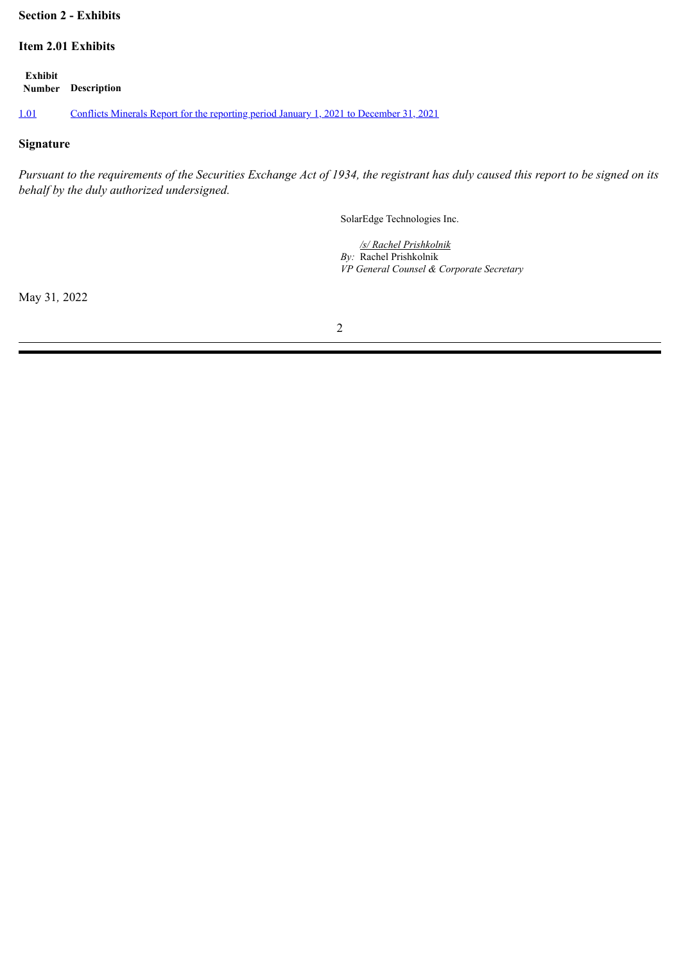## **Section 2 - Exhibits**

**Item 2.01 Exhibits**

**Exhibit Number Description**

[1.01](#page-2-0) Conflicts Minerals Report for the reporting period January 1, 2021 to [December](#page-2-0) 31, 2021

#### **Signature**

*Pursuant to the requirements of the Securities Exchange Act of 1934, the registrant has duly caused this report to be signed on its behalf by the duly authorized undersigned.*

SolarEdge Technologies Inc.

*/s/ Rachel Prishkolnik By:* Rachel Prishkolnik *VP General Counsel & Corporate Secretary*

May 31*,* 2022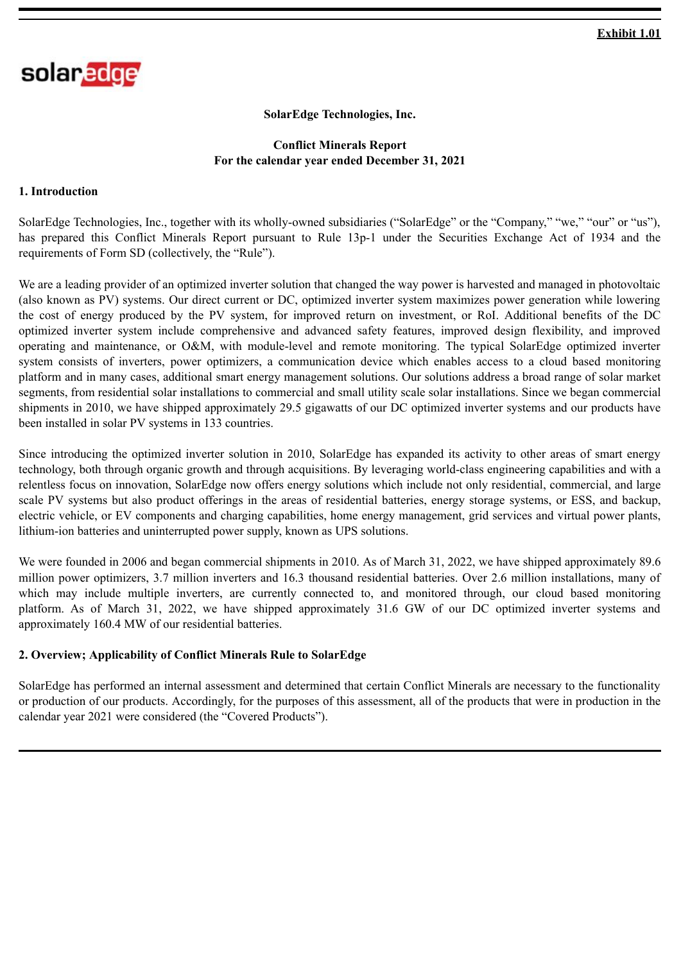<span id="page-2-0"></span>

## **SolarEdge Technologies, Inc.**

## **Conflict Minerals Report For the calendar year ended December 31, 2021**

### **1. Introduction**

SolarEdge Technologies, Inc., together with its wholly-owned subsidiaries ("SolarEdge" or the "Company," "we," "our" or "us"), has prepared this Conflict Minerals Report pursuant to Rule 13p-1 under the Securities Exchange Act of 1934 and the requirements of Form SD (collectively, the "Rule").

We are a leading provider of an optimized inverter solution that changed the way power is harvested and managed in photovoltaic (also known as PV) systems. Our direct current or DC, optimized inverter system maximizes power generation while lowering the cost of energy produced by the PV system, for improved return on investment, or RoI. Additional benefits of the DC optimized inverter system include comprehensive and advanced safety features, improved design flexibility, and improved operating and maintenance, or O&M, with module-level and remote monitoring. The typical SolarEdge optimized inverter system consists of inverters, power optimizers, a communication device which enables access to a cloud based monitoring platform and in many cases, additional smart energy management solutions. Our solutions address a broad range of solar market segments, from residential solar installations to commercial and small utility scale solar installations. Since we began commercial shipments in 2010, we have shipped approximately 29.5 gigawatts of our DC optimized inverter systems and our products have been installed in solar PV systems in 133 countries.

Since introducing the optimized inverter solution in 2010, SolarEdge has expanded its activity to other areas of smart energy technology, both through organic growth and through acquisitions. By leveraging world-class engineering capabilities and with a relentless focus on innovation, SolarEdge now offers energy solutions which include not only residential, commercial, and large scale PV systems but also product offerings in the areas of residential batteries, energy storage systems, or ESS, and backup, electric vehicle, or EV components and charging capabilities, home energy management, grid services and virtual power plants, lithium-ion batteries and uninterrupted power supply, known as UPS solutions.

We were founded in 2006 and began commercial shipments in 2010. As of March 31, 2022, we have shipped approximately 89.6 million power optimizers, 3.7 million inverters and 16.3 thousand residential batteries. Over 2.6 million installations, many of which may include multiple inverters, are currently connected to, and monitored through, our cloud based monitoring platform. As of March 31, 2022, we have shipped approximately 31.6 GW of our DC optimized inverter systems and approximately 160.4 MW of our residential batteries.

#### **2. Overview; Applicability of Conflict Minerals Rule to SolarEdge**

SolarEdge has performed an internal assessment and determined that certain Conflict Minerals are necessary to the functionality or production of our products. Accordingly, for the purposes of this assessment, all of the products that were in production in the calendar year 2021 were considered (the "Covered Products").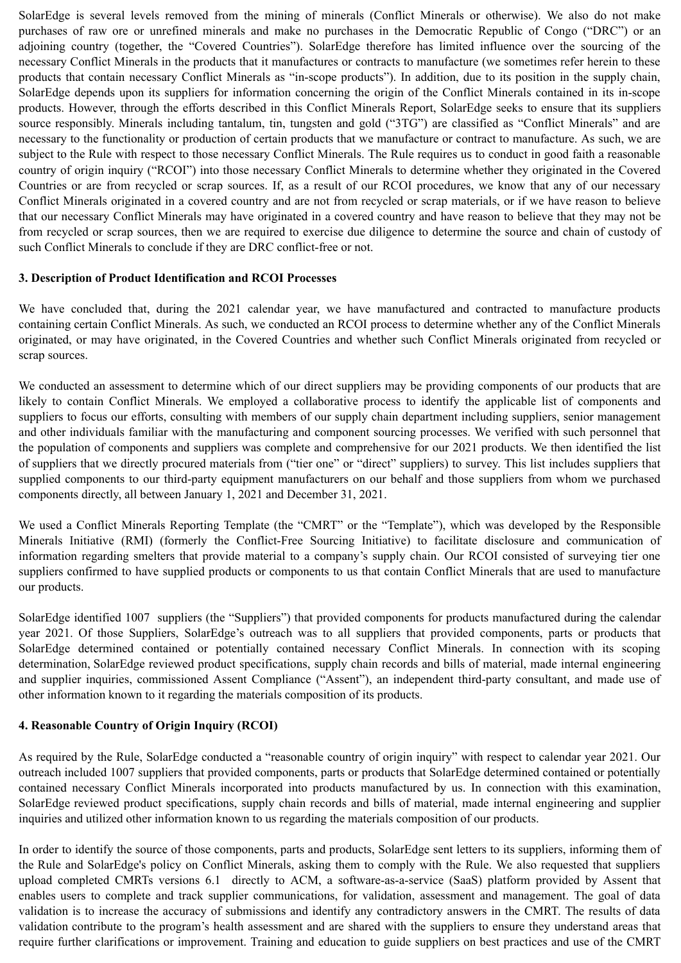SolarEdge is several levels removed from the mining of minerals (Conflict Minerals or otherwise). We also do not make purchases of raw ore or unrefined minerals and make no purchases in the Democratic Republic of Congo ("DRC") or an adjoining country (together, the "Covered Countries"). SolarEdge therefore has limited influence over the sourcing of the necessary Conflict Minerals in the products that it manufactures or contracts to manufacture (we sometimes refer herein to these products that contain necessary Conflict Minerals as "in-scope products"). In addition, due to its position in the supply chain, SolarEdge depends upon its suppliers for information concerning the origin of the Conflict Minerals contained in its in-scope products. However, through the efforts described in this Conflict Minerals Report, SolarEdge seeks to ensure that its suppliers source responsibly. Minerals including tantalum, tin, tungsten and gold ("3TG") are classified as "Conflict Minerals" and are necessary to the functionality or production of certain products that we manufacture or contract to manufacture. As such, we are subject to the Rule with respect to those necessary Conflict Minerals. The Rule requires us to conduct in good faith a reasonable country of origin inquiry ("RCOI") into those necessary Conflict Minerals to determine whether they originated in the Covered Countries or are from recycled or scrap sources. If, as a result of our RCOI procedures, we know that any of our necessary Conflict Minerals originated in a covered country and are not from recycled or scrap materials, or if we have reason to believe that our necessary Conflict Minerals may have originated in a covered country and have reason to believe that they may not be from recycled or scrap sources, then we are required to exercise due diligence to determine the source and chain of custody of such Conflict Minerals to conclude if they are DRC conflict-free or not.

### **3. Description of Product Identification and RCOI Processes**

We have concluded that, during the 2021 calendar year, we have manufactured and contracted to manufacture products containing certain Conflict Minerals. As such, we conducted an RCOI process to determine whether any of the Conflict Minerals originated, or may have originated, in the Covered Countries and whether such Conflict Minerals originated from recycled or scrap sources.

We conducted an assessment to determine which of our direct suppliers may be providing components of our products that are likely to contain Conflict Minerals. We employed a collaborative process to identify the applicable list of components and suppliers to focus our efforts, consulting with members of our supply chain department including suppliers, senior management and other individuals familiar with the manufacturing and component sourcing processes. We verified with such personnel that the population of components and suppliers was complete and comprehensive for our 2021 products. We then identified the list of suppliers that we directly procured materials from ("tier one" or "direct" suppliers) to survey. This list includes suppliers that supplied components to our third-party equipment manufacturers on our behalf and those suppliers from whom we purchased components directly, all between January 1, 2021 and December 31, 2021.

We used a Conflict Minerals Reporting Template (the "CMRT" or the "Template"), which was developed by the Responsible Minerals Initiative (RMI) (formerly the Conflict-Free Sourcing Initiative) to facilitate disclosure and communication of information regarding smelters that provide material to a company's supply chain. Our RCOI consisted of surveying tier one suppliers confirmed to have supplied products or components to us that contain Conflict Minerals that are used to manufacture our products.

SolarEdge identified 1007 suppliers (the "Suppliers") that provided components for products manufactured during the calendar year 2021. Of those Suppliers, SolarEdge's outreach was to all suppliers that provided components, parts or products that SolarEdge determined contained or potentially contained necessary Conflict Minerals. In connection with its scoping determination, SolarEdge reviewed product specifications, supply chain records and bills of material, made internal engineering and supplier inquiries, commissioned Assent Compliance ("Assent"), an independent third-party consultant, and made use of other information known to it regarding the materials composition of its products.

## **4. Reasonable Country of Origin Inquiry (RCOI)**

As required by the Rule, SolarEdge conducted a "reasonable country of origin inquiry" with respect to calendar year 2021. Our outreach included 1007 suppliers that provided components, parts or products that SolarEdge determined contained or potentially contained necessary Conflict Minerals incorporated into products manufactured by us. In connection with this examination, SolarEdge reviewed product specifications, supply chain records and bills of material, made internal engineering and supplier inquiries and utilized other information known to us regarding the materials composition of our products.

In order to identify the source of those components, parts and products, SolarEdge sent letters to its suppliers, informing them of the Rule and SolarEdge's policy on Conflict Minerals, asking them to comply with the Rule. We also requested that suppliers upload completed CMRTs versions 6.1 directly to ACM, a software-as-a-service (SaaS) platform provided by Assent that enables users to complete and track supplier communications, for validation, assessment and management. The goal of data validation is to increase the accuracy of submissions and identify any contradictory answers in the CMRT. The results of data validation contribute to the program's health assessment and are shared with the suppliers to ensure they understand areas that require further clarifications or improvement. Training and education to guide suppliers on best practices and use of the CMRT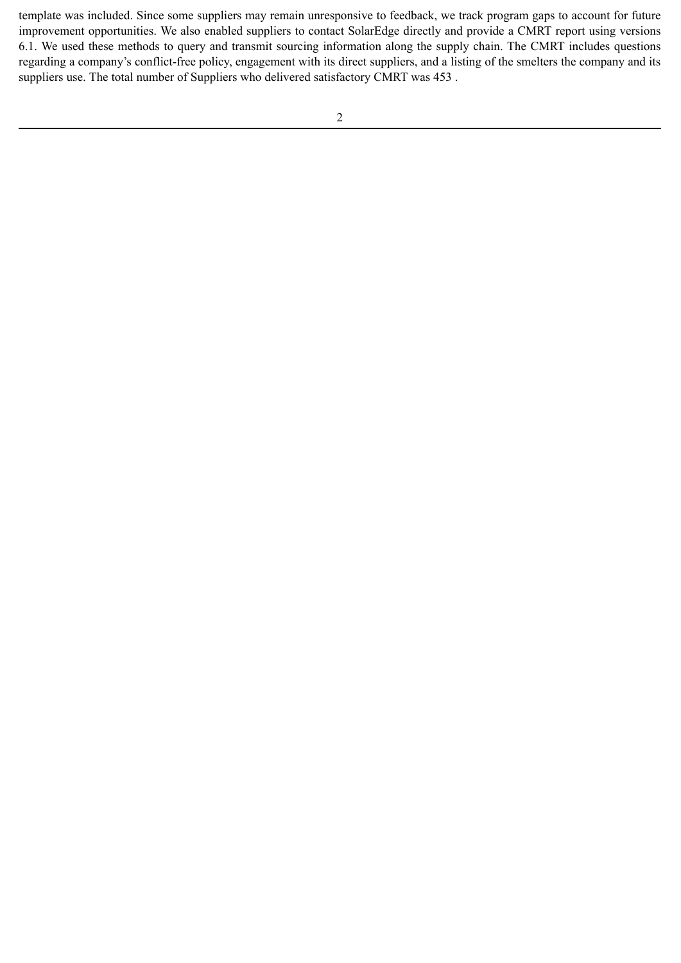template was included. Since some suppliers may remain unresponsive to feedback, we track program gaps to account for future improvement opportunities. We also enabled suppliers to contact SolarEdge directly and provide a CMRT report using versions 6.1. We used these methods to query and transmit sourcing information along the supply chain. The CMRT includes questions regarding a company's conflict-free policy, engagement with its direct suppliers, and a listing of the smelters the company and its suppliers use. The total number of Suppliers who delivered satisfactory CMRT was 453 .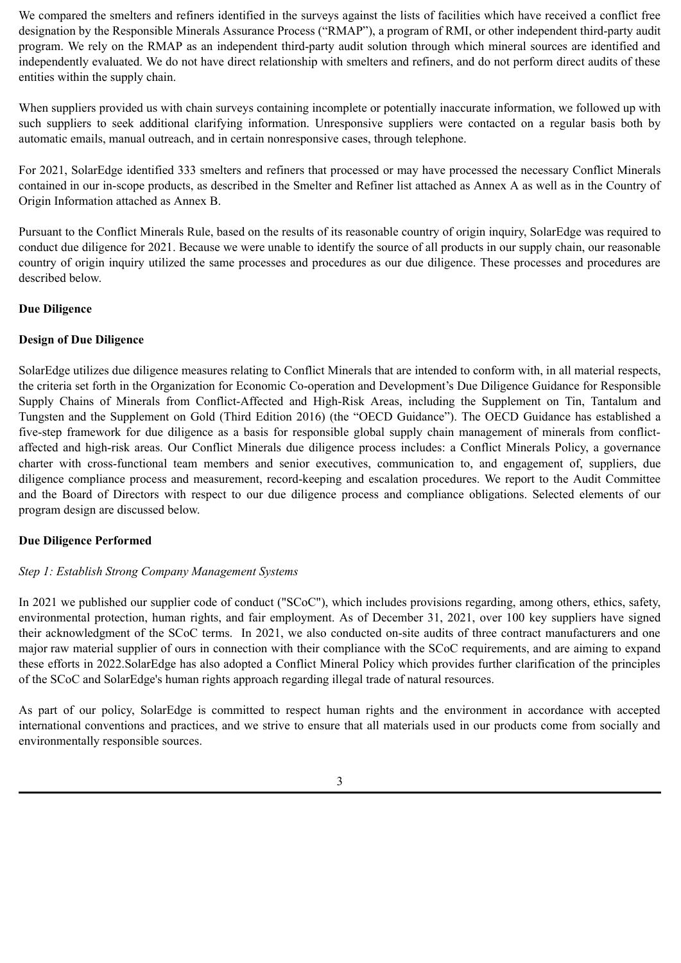We compared the smelters and refiners identified in the surveys against the lists of facilities which have received a conflict free designation by the Responsible Minerals Assurance Process ("RMAP"), a program of RMI, or other independent third-party audit program. We rely on the RMAP as an independent third-party audit solution through which mineral sources are identified and independently evaluated. We do not have direct relationship with smelters and refiners, and do not perform direct audits of these entities within the supply chain.

When suppliers provided us with chain surveys containing incomplete or potentially inaccurate information, we followed up with such suppliers to seek additional clarifying information. Unresponsive suppliers were contacted on a regular basis both by automatic emails, manual outreach, and in certain nonresponsive cases, through telephone.

For 2021, SolarEdge identified 333 smelters and refiners that processed or may have processed the necessary Conflict Minerals contained in our in-scope products, as described in the Smelter and Refiner list attached as Annex A as well as in the Country of Origin Information attached as Annex B.

Pursuant to the Conflict Minerals Rule, based on the results of its reasonable country of origin inquiry, SolarEdge was required to conduct due diligence for 2021. Because we were unable to identify the source of all products in our supply chain, our reasonable country of origin inquiry utilized the same processes and procedures as our due diligence. These processes and procedures are described below.

### **Due Diligence**

### **Design of Due Diligence**

SolarEdge utilizes due diligence measures relating to Conflict Minerals that are intended to conform with, in all material respects, the criteria set forth in the Organization for Economic Co-operation and Development's Due Diligence Guidance for Responsible Supply Chains of Minerals from Conflict-Affected and High-Risk Areas, including the Supplement on Tin, Tantalum and Tungsten and the Supplement on Gold (Third Edition 2016) (the "OECD Guidance"). The OECD Guidance has established a five-step framework for due diligence as a basis for responsible global supply chain management of minerals from conflictaffected and high-risk areas. Our Conflict Minerals due diligence process includes: a Conflict Minerals Policy, a governance charter with cross-functional team members and senior executives, communication to, and engagement of, suppliers, due diligence compliance process and measurement, record-keeping and escalation procedures. We report to the Audit Committee and the Board of Directors with respect to our due diligence process and compliance obligations. Selected elements of our program design are discussed below.

## **Due Diligence Performed**

#### *Step 1: Establish Strong Company Management Systems*

In 2021 we published our supplier code of conduct ("SCoC"), which includes provisions regarding, among others, ethics, safety, environmental protection, human rights, and fair employment. As of December 31, 2021, over 100 key suppliers have signed their acknowledgment of the SCoC terms. In 2021, we also conducted on-site audits of three contract manufacturers and one major raw material supplier of ours in connection with their compliance with the SCoC requirements, and are aiming to expand these efforts in 2022.SolarEdge has also adopted a Conflict Mineral Policy which provides further clarification of the principles of the SCoC and SolarEdge's human rights approach regarding illegal trade of natural resources.

As part of our policy, SolarEdge is committed to respect human rights and the environment in accordance with accepted international conventions and practices, and we strive to ensure that all materials used in our products come from socially and environmentally responsible sources.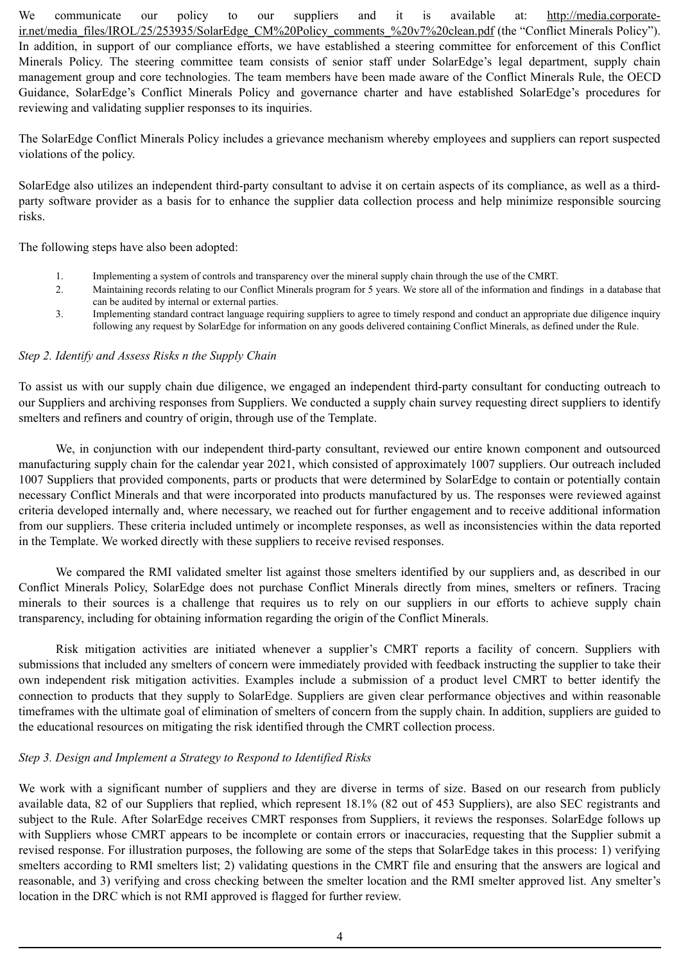We communicate our policy to our suppliers and it is available at: http://media.corporateir.net/media\_files/IROL/25/253935/SolarEdge\_CM%20Policy\_comments\_%20v7%20clean.pdf (the "Conflict Minerals Policy"). In addition, in support of our compliance efforts, we have established a steering committee for enforcement of this Conflict Minerals Policy. The steering committee team consists of senior staff under SolarEdge's legal department, supply chain management group and core technologies. The team members have been made aware of the Conflict Minerals Rule, the OECD Guidance, SolarEdge's Conflict Minerals Policy and governance charter and have established SolarEdge's procedures for reviewing and validating supplier responses to its inquiries.

The SolarEdge Conflict Minerals Policy includes a grievance mechanism whereby employees and suppliers can report suspected violations of the policy.

SolarEdge also utilizes an independent third-party consultant to advise it on certain aspects of its compliance, as well as a thirdparty software provider as a basis for to enhance the supplier data collection process and help minimize responsible sourcing risks.

The following steps have also been adopted:

- 1. Implementing a system of controls and transparency over the mineral supply chain through the use of the CMRT.
- 2. Maintaining records relating to our Conflict Minerals program for 5 years. We store all of the information and findings in a database that can be audited by internal or external parties.
- 3. Implementing standard contract language requiring suppliers to agree to timely respond and conduct an appropriate due diligence inquiry following any request by SolarEdge for information on any goods delivered containing Conflict Minerals, as defined under the Rule.

#### *Step 2. Identify and Assess Risks n the Supply Chain*

To assist us with our supply chain due diligence, we engaged an independent third-party consultant for conducting outreach to our Suppliers and archiving responses from Suppliers. We conducted a supply chain survey requesting direct suppliers to identify smelters and refiners and country of origin, through use of the Template.

We, in conjunction with our independent third-party consultant, reviewed our entire known component and outsourced manufacturing supply chain for the calendar year 2021, which consisted of approximately 1007 suppliers. Our outreach included 1007 Suppliers that provided components, parts or products that were determined by SolarEdge to contain or potentially contain necessary Conflict Minerals and that were incorporated into products manufactured by us. The responses were reviewed against criteria developed internally and, where necessary, we reached out for further engagement and to receive additional information from our suppliers. These criteria included untimely or incomplete responses, as well as inconsistencies within the data reported in the Template. We worked directly with these suppliers to receive revised responses.

We compared the RMI validated smelter list against those smelters identified by our suppliers and, as described in our Conflict Minerals Policy, SolarEdge does not purchase Conflict Minerals directly from mines, smelters or refiners. Tracing minerals to their sources is a challenge that requires us to rely on our suppliers in our efforts to achieve supply chain transparency, including for obtaining information regarding the origin of the Conflict Minerals.

Risk mitigation activities are initiated whenever a supplier's CMRT reports a facility of concern. Suppliers with submissions that included any smelters of concern were immediately provided with feedback instructing the supplier to take their own independent risk mitigation activities. Examples include a submission of a product level CMRT to better identify the connection to products that they supply to SolarEdge. Suppliers are given clear performance objectives and within reasonable timeframes with the ultimate goal of elimination of smelters of concern from the supply chain. In addition, suppliers are guided to the educational resources on mitigating the risk identified through the CMRT collection process.

#### *Step 3. Design and Implement a Strategy to Respond to Identified Risks*

We work with a significant number of suppliers and they are diverse in terms of size. Based on our research from publicly available data, 82 of our Suppliers that replied, which represent 18.1% (82 out of 453 Suppliers), are also SEC registrants and subject to the Rule. After SolarEdge receives CMRT responses from Suppliers, it reviews the responses. SolarEdge follows up with Suppliers whose CMRT appears to be incomplete or contain errors or inaccuracies, requesting that the Supplier submit a revised response. For illustration purposes, the following are some of the steps that SolarEdge takes in this process: 1) verifying smelters according to RMI smelters list; 2) validating questions in the CMRT file and ensuring that the answers are logical and reasonable, and 3) verifying and cross checking between the smelter location and the RMI smelter approved list. Any smelter's location in the DRC which is not RMI approved is flagged for further review.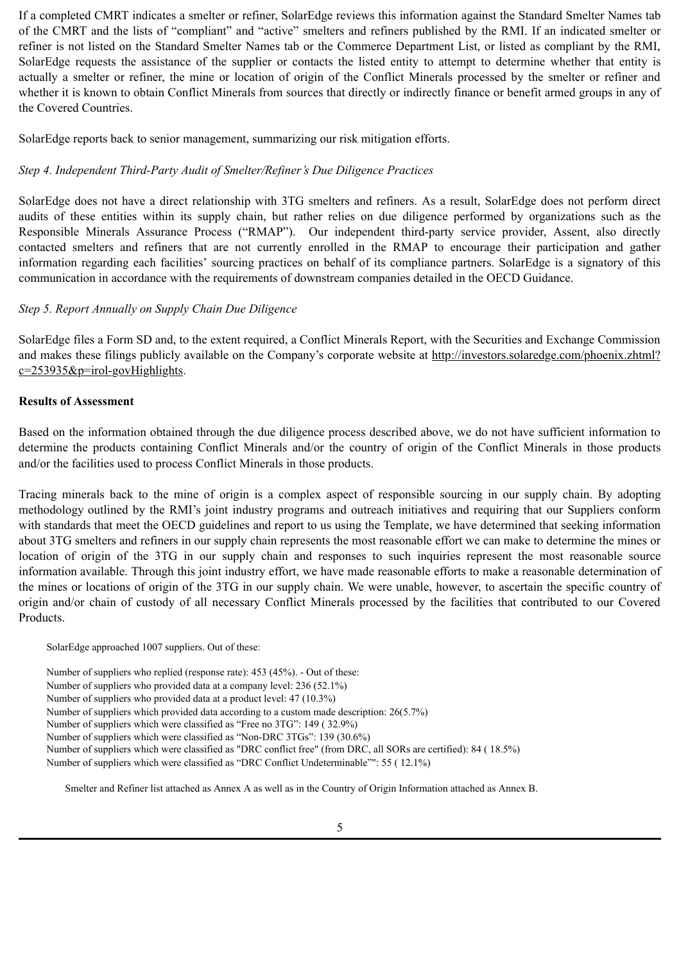If a completed CMRT indicates a smelter or refiner, SolarEdge reviews this information against the Standard Smelter Names tab of the CMRT and the lists of "compliant" and "active" smelters and refiners published by the RMI. If an indicated smelter or refiner is not listed on the Standard Smelter Names tab or the Commerce Department List, or listed as compliant by the RMI, SolarEdge requests the assistance of the supplier or contacts the listed entity to attempt to determine whether that entity is actually a smelter or refiner, the mine or location of origin of the Conflict Minerals processed by the smelter or refiner and whether it is known to obtain Conflict Minerals from sources that directly or indirectly finance or benefit armed groups in any of the Covered Countries.

SolarEdge reports back to senior management, summarizing our risk mitigation efforts.

## *Step 4. Independent Third-Party Audit of Smelter/Refiner's Due Diligence Practices*

SolarEdge does not have a direct relationship with 3TG smelters and refiners. As a result, SolarEdge does not perform direct audits of these entities within its supply chain, but rather relies on due diligence performed by organizations such as the Responsible Minerals Assurance Process ("RMAP"). Our independent third-party service provider, Assent, also directly contacted smelters and refiners that are not currently enrolled in the RMAP to encourage their participation and gather information regarding each facilities' sourcing practices on behalf of its compliance partners. SolarEdge is a signatory of this communication in accordance with the requirements of downstream companies detailed in the OECD Guidance.

## *Step 5. Report Annually on Supply Chain Due Diligence*

SolarEdge files a Form SD and, to the extent required, a Conflict Minerals Report, with the Securities and Exchange Commission and makes these filings publicly available on the Company's corporate website at http://investors.solaredge.com/phoenix.zhtml?  $c=253935$ &p=irol-govHighlights.

## **Results of Assessment**

Based on the information obtained through the due diligence process described above, we do not have sufficient information to determine the products containing Conflict Minerals and/or the country of origin of the Conflict Minerals in those products and/or the facilities used to process Conflict Minerals in those products.

Tracing minerals back to the mine of origin is a complex aspect of responsible sourcing in our supply chain. By adopting methodology outlined by the RMI's joint industry programs and outreach initiatives and requiring that our Suppliers conform with standards that meet the OECD guidelines and report to us using the Template, we have determined that seeking information about 3TG smelters and refiners in our supply chain represents the most reasonable effort we can make to determine the mines or location of origin of the 3TG in our supply chain and responses to such inquiries represent the most reasonable source information available. Through this joint industry effort, we have made reasonable efforts to make a reasonable determination of the mines or locations of origin of the 3TG in our supply chain. We were unable, however, to ascertain the specific country of origin and/or chain of custody of all necessary Conflict Minerals processed by the facilities that contributed to our Covered Products.

SolarEdge approached 1007 suppliers. Out of these:

Number of suppliers who replied (response rate): 453 (45%). - Out of these: Number of suppliers who provided data at a company level: 236 (52.1%) Number of suppliers who provided data at a product level: 47 (10.3%) Number of suppliers which provided data according to a custom made description: 26(5.7%) Number of suppliers which were classified as "Free no 3TG": 149 ( 32.9%) Number of suppliers which were classified as "Non-DRC 3TGs": 139 (30.6%) Number of suppliers which were classified as "DRC conflict free" (from DRC, all SORs are certified): 84 ( 18.5%) Number of suppliers which were classified as "DRC Conflict Undeterminable"": 55 ( 12.1%)

Smelter and Refiner list attached as Annex A as well as in the Country of Origin Information attached as Annex B.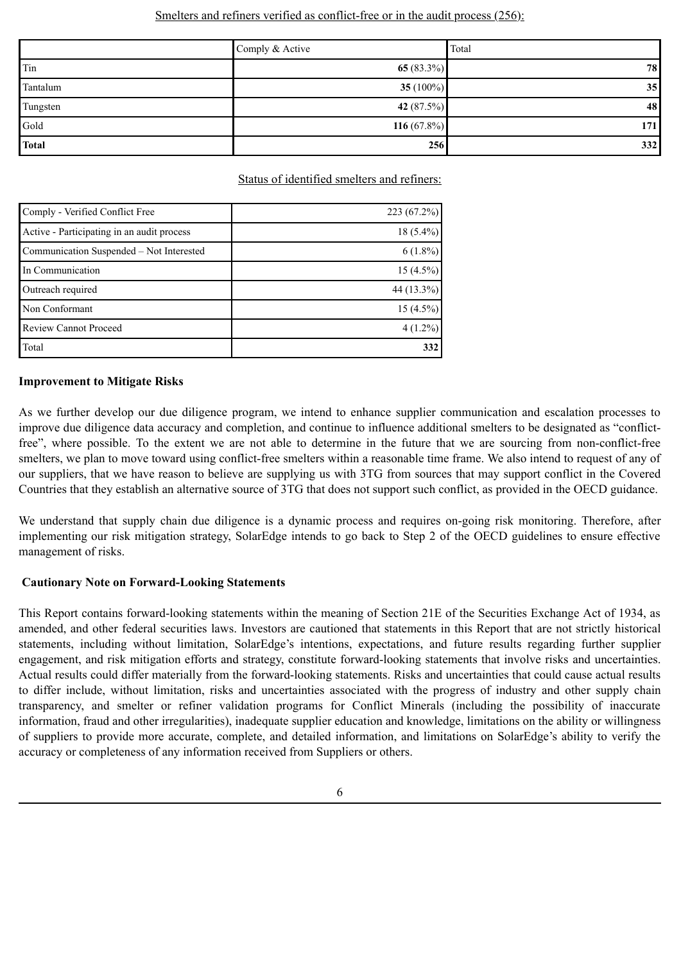|              | Comply & Active | Total |
|--------------|-----------------|-------|
| Tin          | 65 $(83.3\%)$   | 78    |
| Tantalum     | 35 (100%)       | 35    |
| Tungsten     | 42 (87.5%)      | 48    |
| Gold         | 116 $(67.8\%)$  | 171   |
| <b>Total</b> | 256             | 332   |

## Status of identified smelters and refiners:

| Comply - Verified Conflict Free            | 223 (67.2%) |
|--------------------------------------------|-------------|
| Active - Participating in an audit process | $18(5.4\%)$ |
| Communication Suspended - Not Interested   | $6(1.8\%)$  |
| In Communication                           | $15(4.5\%)$ |
| Outreach required                          | 44 (13.3%)  |
| Non Conformant                             | $15(4.5\%)$ |
| <b>Review Cannot Proceed</b>               | $4(1.2\%)$  |
| Total                                      | 332         |

#### **Improvement to Mitigate Risks**

As we further develop our due diligence program, we intend to enhance supplier communication and escalation processes to improve due diligence data accuracy and completion, and continue to influence additional smelters to be designated as "conflictfree", where possible. To the extent we are not able to determine in the future that we are sourcing from non-conflict-free smelters, we plan to move toward using conflict-free smelters within a reasonable time frame. We also intend to request of any of our suppliers, that we have reason to believe are supplying us with 3TG from sources that may support conflict in the Covered Countries that they establish an alternative source of 3TG that does not support such conflict, as provided in the OECD guidance.

We understand that supply chain due diligence is a dynamic process and requires on-going risk monitoring. Therefore, after implementing our risk mitigation strategy, SolarEdge intends to go back to Step 2 of the OECD guidelines to ensure effective management of risks.

#### **Cautionary Note on Forward-Looking Statements**

This Report contains forward-looking statements within the meaning of Section 21E of the Securities Exchange Act of 1934, as amended, and other federal securities laws. Investors are cautioned that statements in this Report that are not strictly historical statements, including without limitation, SolarEdge's intentions, expectations, and future results regarding further supplier engagement, and risk mitigation efforts and strategy, constitute forward-looking statements that involve risks and uncertainties. Actual results could differ materially from the forward-looking statements. Risks and uncertainties that could cause actual results to differ include, without limitation, risks and uncertainties associated with the progress of industry and other supply chain transparency, and smelter or refiner validation programs for Conflict Minerals (including the possibility of inaccurate information, fraud and other irregularities), inadequate supplier education and knowledge, limitations on the ability or willingness of suppliers to provide more accurate, complete, and detailed information, and limitations on SolarEdge's ability to verify the accuracy or completeness of any information received from Suppliers or others.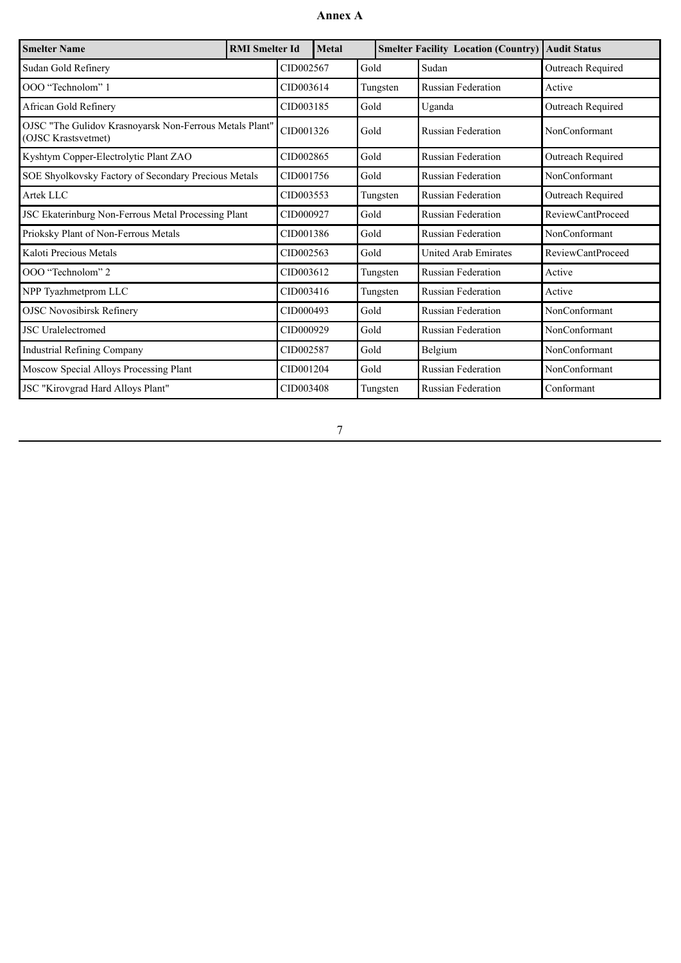# **Annex A**

| <b>Smelter Name</b>                                                            | <b>RMI</b> Smelter Id | <b>Metal</b> |  |          |          | <b>Smelter Facility Location (Country)</b> | <b>Audit Status</b>      |
|--------------------------------------------------------------------------------|-----------------------|--------------|--|----------|----------|--------------------------------------------|--------------------------|
| Sudan Gold Refinery                                                            |                       | CID002567    |  | Gold     |          | Sudan                                      | Outreach Required        |
| OOO "Technolom" 1                                                              |                       | CID003614    |  |          | Tungsten | <b>Russian Federation</b>                  | Active                   |
| African Gold Refinery                                                          |                       | CID003185    |  | Gold     |          | Uganda                                     | Outreach Required        |
| OJSC "The Gulidov Krasnoyarsk Non-Ferrous Metals Plant"<br>(OJSC Krastsvetmet) |                       | CID001326    |  | Gold     |          | <b>Russian Federation</b>                  | NonConformant            |
| Kyshtym Copper-Electrolytic Plant ZAO                                          |                       | CID002865    |  | Gold     |          | <b>Russian Federation</b>                  | Outreach Required        |
| SOE Shyolkovsky Factory of Secondary Precious Metals                           |                       | CID001756    |  | Gold     |          | <b>Russian Federation</b>                  | NonConformant            |
| Artek LLC                                                                      |                       | CID003553    |  | Tungsten |          | <b>Russian Federation</b>                  | <b>Outreach Required</b> |
| JSC Ekaterinburg Non-Ferrous Metal Processing Plant                            |                       | CID000927    |  | Gold     |          | <b>Russian Federation</b>                  | ReviewCantProceed        |
| Prioksky Plant of Non-Ferrous Metals                                           |                       | CID001386    |  | Gold     |          | <b>Russian Federation</b>                  | NonConformant            |
| Kaloti Precious Metals                                                         |                       | CID002563    |  | Gold     |          | <b>United Arab Emirates</b>                | ReviewCantProceed        |
| OOO "Technolom" 2                                                              |                       | CID003612    |  | Tungsten |          | Russian Federation                         | Active                   |
| NPP Tyazhmetprom LLC                                                           |                       | CID003416    |  |          | Tungsten | <b>Russian Federation</b>                  | Active                   |
| <b>OJSC Novosibirsk Refinery</b>                                               |                       | CID000493    |  | Gold     |          | <b>Russian Federation</b>                  | NonConformant            |
| <b>JSC</b> Uralelectromed                                                      |                       | CID000929    |  | Gold     |          | <b>Russian Federation</b>                  | NonConformant            |
| Industrial Refining Company                                                    |                       | CID002587    |  | Gold     |          | Belgium                                    | NonConformant            |
| Moscow Special Alloys Processing Plant                                         |                       | CID001204    |  | Gold     |          | <b>Russian Federation</b>                  | NonConformant            |
| JSC "Kirovgrad Hard Alloys Plant"                                              |                       | CID003408    |  |          | Tungsten | <b>Russian Federation</b>                  | Conformant               |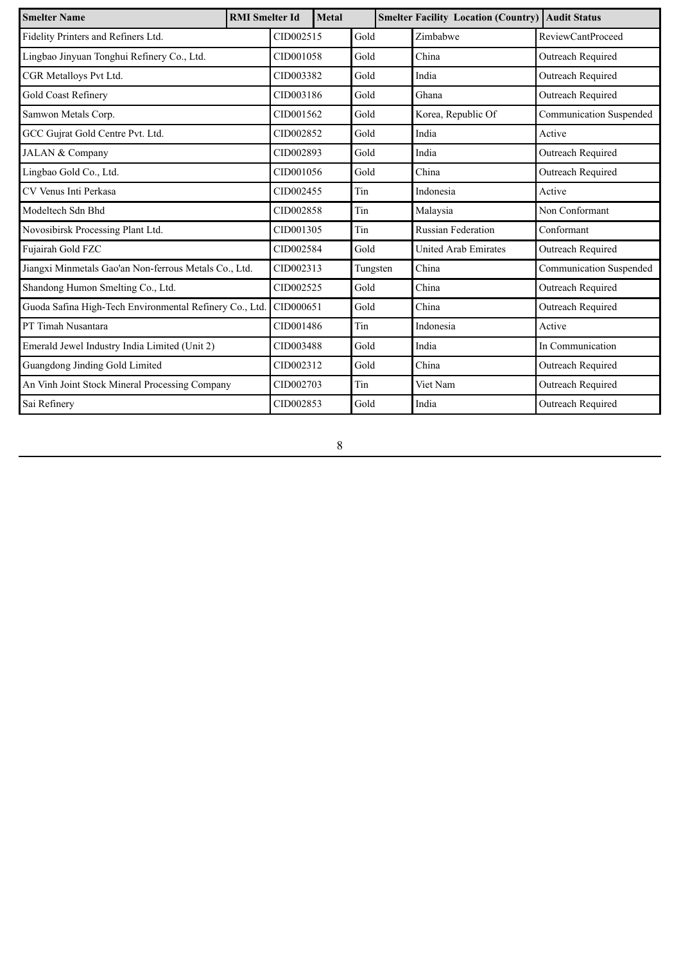| <b>Smelter Name</b>                                     | <b>RMI</b> Smelter Id |           | <b>Metal</b> |          | <b>Smelter Facility Location (Country) Audit Status</b> |                         |
|---------------------------------------------------------|-----------------------|-----------|--------------|----------|---------------------------------------------------------|-------------------------|
| Fidelity Printers and Refiners Ltd.                     |                       | CID002515 |              | Gold     | Zimbabwe                                                | ReviewCantProceed       |
| Lingbao Jinyuan Tonghui Refinery Co., Ltd.              |                       | CID001058 |              | Gold     | China                                                   | Outreach Required       |
| CGR Metalloys Pvt Ltd.                                  |                       | CID003382 |              | Gold     | India                                                   | Outreach Required       |
| <b>Gold Coast Refinery</b>                              |                       | CID003186 |              | Gold     | Ghana                                                   | Outreach Required       |
| Samwon Metals Corp.                                     |                       | CID001562 |              | Gold     | Korea, Republic Of                                      | Communication Suspended |
| GCC Gujrat Gold Centre Pvt. Ltd.                        |                       | CID002852 |              | Gold     | India                                                   | Active                  |
| JALAN & Company                                         |                       | CID002893 |              | Gold     | India                                                   | Outreach Required       |
| Lingbao Gold Co., Ltd.                                  |                       | CID001056 |              | Gold     | China                                                   | Outreach Required       |
| CV Venus Inti Perkasa                                   |                       | CID002455 |              | Tin      | Indonesia                                               | Active                  |
| Modeltech Sdn Bhd                                       |                       | CID002858 |              | Tin      | Malaysia                                                | Non Conformant          |
| Novosibirsk Processing Plant Ltd.                       |                       | CID001305 |              | Tin      | <b>Russian Federation</b>                               | Conformant              |
| Fujairah Gold FZC                                       |                       | CID002584 |              | Gold     | <b>United Arab Emirates</b>                             | Outreach Required       |
| Jiangxi Minmetals Gao'an Non-ferrous Metals Co., Ltd.   |                       | CID002313 |              | Tungsten | China                                                   | Communication Suspended |
| Shandong Humon Smelting Co., Ltd.                       |                       | CID002525 |              | Gold     | China                                                   | Outreach Required       |
| Guoda Safina High-Tech Environmental Refinery Co., Ltd. |                       | CID000651 |              | Gold     | China                                                   | Outreach Required       |
| PT Timah Nusantara                                      |                       | CID001486 |              | Tin      | Indonesia                                               | Active                  |
| Emerald Jewel Industry India Limited (Unit 2)           |                       | CID003488 |              | Gold     | India                                                   | In Communication        |
| Guangdong Jinding Gold Limited                          |                       | CID002312 |              | Gold     | China                                                   | Outreach Required       |
| An Vinh Joint Stock Mineral Processing Company          |                       | CID002703 |              | Tin      | Viet Nam                                                | Outreach Required       |
| Sai Refinery                                            |                       | CID002853 |              | Gold     | India                                                   | Outreach Required       |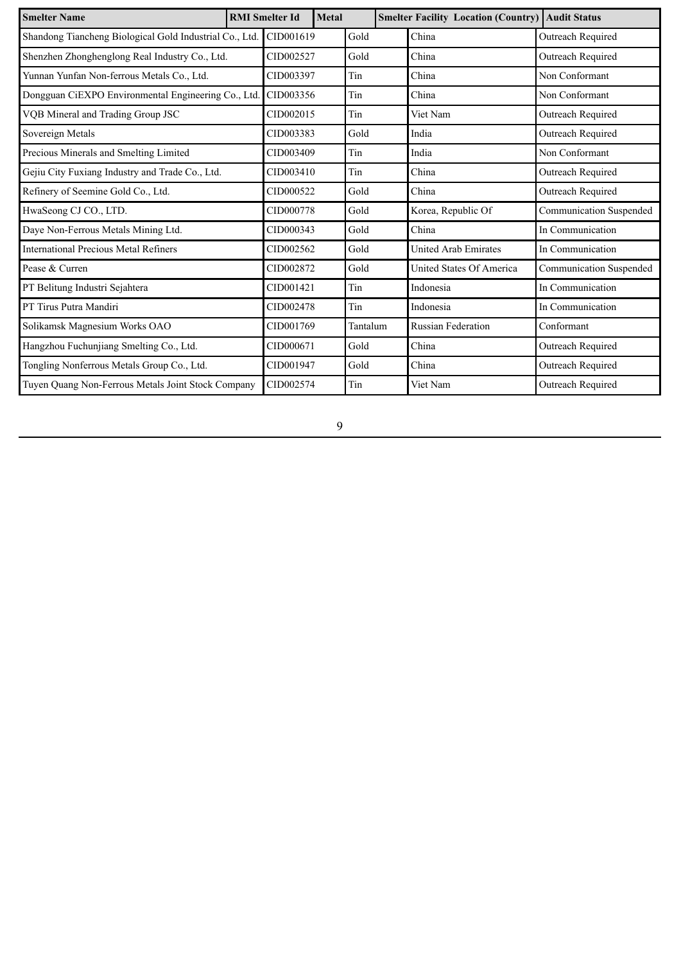| <b>Smelter Name</b>                                     | <b>RMI</b> Smelter Id | <b>Metal</b> |          | <b>Smelter Facility Location (Country)   Audit Status</b> |                         |
|---------------------------------------------------------|-----------------------|--------------|----------|-----------------------------------------------------------|-------------------------|
| Shandong Tiancheng Biological Gold Industrial Co., Ltd. | CID001619             |              | Gold     | China                                                     | Outreach Required       |
| Shenzhen Zhonghenglong Real Industry Co., Ltd.          | CID002527             |              | Gold     | China                                                     | Outreach Required       |
| Yunnan Yunfan Non-ferrous Metals Co., Ltd.              | CID003397             |              | Tin      | China                                                     | Non Conformant          |
| Dongguan CiEXPO Environmental Engineering Co., Ltd.     | CID003356             |              | Tin      | China                                                     | Non Conformant          |
| VQB Mineral and Trading Group JSC                       | CID002015             |              | Tin      | Viet Nam                                                  | Outreach Required       |
| Sovereign Metals                                        | CID003383             |              | Gold     | India                                                     | Outreach Required       |
| Precious Minerals and Smelting Limited                  | CID003409             |              | Tin      | India                                                     | Non Conformant          |
| Gejiu City Fuxiang Industry and Trade Co., Ltd.         | CID003410             |              | Tin      | China                                                     | Outreach Required       |
| Refinery of Seemine Gold Co., Ltd.                      | CID000522             |              | Gold     | China                                                     | Outreach Required       |
| HwaSeong CJ CO., LTD.                                   | CID000778             |              | Gold     | Korea, Republic Of                                        | Communication Suspended |
| Daye Non-Ferrous Metals Mining Ltd.                     | CID000343             |              | Gold     | China                                                     | In Communication        |
| <b>International Precious Metal Refiners</b>            | CID002562             |              | Gold     | <b>United Arab Emirates</b>                               | In Communication        |
| Pease & Curren                                          | CID002872             |              | Gold     | <b>United States Of America</b>                           | Communication Suspended |
| PT Belitung Industri Sejahtera                          | CID001421             |              | Tin      | Indonesia                                                 | In Communication        |
| PT Tirus Putra Mandiri                                  | CID002478             |              | Tin      | Indonesia                                                 | In Communication        |
| Solikamsk Magnesium Works OAO                           | CID001769             |              | Tantalum | <b>Russian Federation</b>                                 | Conformant              |
| Hangzhou Fuchunjiang Smelting Co., Ltd.                 | CID000671             |              | Gold     | China                                                     | Outreach Required       |
| Tongling Nonferrous Metals Group Co., Ltd.              | CID001947             |              | Gold     | China                                                     | Outreach Required       |
| Tuyen Quang Non-Ferrous Metals Joint Stock Company      | CID002574             |              | Tin      | Viet Nam                                                  | Outreach Required       |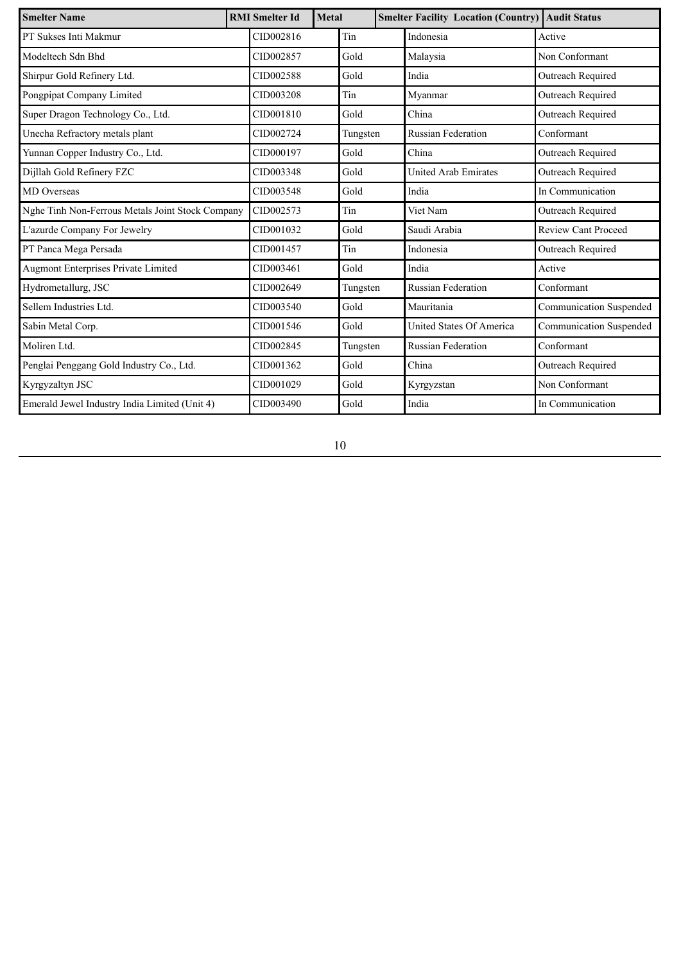| <b>Smelter Name</b>                              | <b>RMI</b> Smelter Id | <b>Metal</b> |          |  | <b>Smelter Facility Location (Country) Audit Status</b> |                            |
|--------------------------------------------------|-----------------------|--------------|----------|--|---------------------------------------------------------|----------------------------|
| PT Sukses Inti Makmur                            | CID002816             |              | Tin      |  | Indonesia                                               | Active                     |
| Modeltech Sdn Bhd                                | CID002857             |              | Gold     |  | Malaysia                                                | Non Conformant             |
| Shirpur Gold Refinery Ltd.                       | CID002588             |              | Gold     |  | India                                                   | Outreach Required          |
| Pongpipat Company Limited                        | CID003208             |              | Tin      |  | Myanmar                                                 | Outreach Required          |
| Super Dragon Technology Co., Ltd.                | CID001810             |              | Gold     |  | China                                                   | Outreach Required          |
| Unecha Refractory metals plant                   | CID002724             |              | Tungsten |  | <b>Russian Federation</b>                               | Conformant                 |
| Yunnan Copper Industry Co., Ltd.                 | CID000197             |              | Gold     |  | China                                                   | Outreach Required          |
| Dijllah Gold Refinery FZC                        | CID003348             |              | Gold     |  | <b>United Arab Emirates</b>                             | Outreach Required          |
| <b>MD</b> Overseas                               | CID003548             |              | Gold     |  | India                                                   | In Communication           |
| Nghe Tinh Non-Ferrous Metals Joint Stock Company | CID002573             |              | Tin      |  | Viet Nam                                                | <b>Outreach Required</b>   |
| L'azurde Company For Jewelry                     | CID001032             |              | Gold     |  | Saudi Arabia                                            | <b>Review Cant Proceed</b> |
| PT Panca Mega Persada                            | CID001457             |              | Tin      |  | Indonesia                                               | Outreach Required          |
| <b>Augmont Enterprises Private Limited</b>       | CID003461             |              | Gold     |  | India                                                   | Active                     |
| Hydrometallurg, JSC                              | CID002649             |              | Tungsten |  | <b>Russian Federation</b>                               | Conformant                 |
| Sellem Industries Ltd.                           | CID003540             |              | Gold     |  | Mauritania                                              | Communication Suspended    |
| Sabin Metal Corp.                                | CID001546             |              | Gold     |  | United States Of America                                | Communication Suspended    |
| Moliren Ltd.                                     | CID002845             |              | Tungsten |  | <b>Russian Federation</b>                               | Conformant                 |
| Penglai Penggang Gold Industry Co., Ltd.         | CID001362             |              | Gold     |  | China                                                   | Outreach Required          |
| Kyrgyzaltyn JSC                                  | CID001029             |              | Gold     |  | Kyrgyzstan                                              | Non Conformant             |
| Emerald Jewel Industry India Limited (Unit 4)    | CID003490             |              | Gold     |  | India                                                   | In Communication           |

10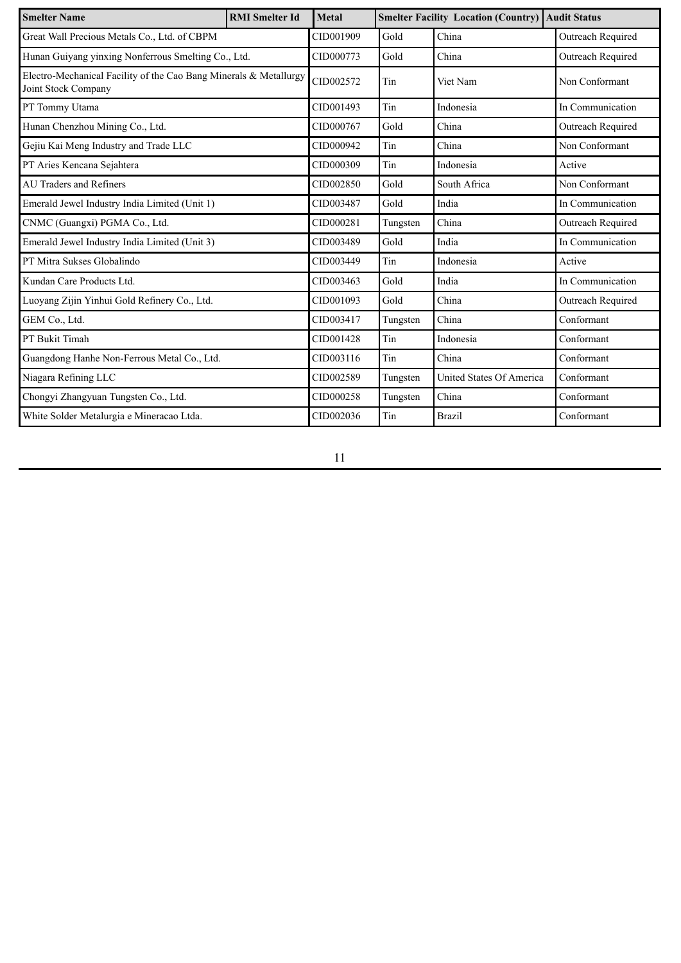| <b>Smelter Name</b>                                                                      | <b>RMI</b> Smelter Id | <b>Metal</b> | <b>Smelter Facility Location (Country)</b> Audit Status |                          |                          |
|------------------------------------------------------------------------------------------|-----------------------|--------------|---------------------------------------------------------|--------------------------|--------------------------|
| Great Wall Precious Metals Co., Ltd. of CBPM                                             |                       | CID001909    | Gold                                                    | China                    | Outreach Required        |
| Hunan Guiyang yinxing Nonferrous Smelting Co., Ltd.                                      |                       | CID000773    | Gold                                                    | China                    | Outreach Required        |
| Electro-Mechanical Facility of the Cao Bang Minerals & Metallurgy<br>Joint Stock Company | CID002572             | Tin          | Viet Nam                                                | Non Conformant           |                          |
| PT Tommy Utama                                                                           |                       | CID001493    | Tin                                                     | Indonesia                | In Communication         |
| Hunan Chenzhou Mining Co., Ltd.                                                          |                       | CID000767    | Gold                                                    | China                    | Outreach Required        |
| Gejiu Kai Meng Industry and Trade LLC                                                    |                       | CID000942    | Tin                                                     | China                    | Non Conformant           |
| PT Aries Kencana Sejahtera                                                               |                       | CID000309    | Tin                                                     | Indonesia                | Active                   |
| <b>AU Traders and Refiners</b>                                                           |                       | CID002850    | Gold                                                    | South Africa             | Non Conformant           |
| Emerald Jewel Industry India Limited (Unit 1)                                            |                       | CID003487    | Gold                                                    | India                    | In Communication         |
| CNMC (Guangxi) PGMA Co., Ltd.                                                            |                       | CID000281    | Tungsten                                                | China                    | Outreach Required        |
| Emerald Jewel Industry India Limited (Unit 3)                                            |                       | CID003489    | Gold                                                    | India                    | In Communication         |
| PT Mitra Sukses Globalindo                                                               |                       | CID003449    | Tin                                                     | Indonesia                | Active                   |
| Kundan Care Products Ltd.                                                                |                       | CID003463    | Gold                                                    | India                    | In Communication         |
| Luoyang Zijin Yinhui Gold Refinery Co., Ltd.                                             |                       | CID001093    | Gold                                                    | China                    | <b>Outreach Required</b> |
| GEM Co., Ltd.                                                                            |                       | CID003417    | Tungsten                                                | China                    | Conformant               |
| PT Bukit Timah                                                                           |                       | CID001428    | Tin                                                     | Indonesia                | Conformant               |
| Guangdong Hanhe Non-Ferrous Metal Co., Ltd.                                              |                       | CID003116    | Tin                                                     | China                    | Conformant               |
| Niagara Refining LLC                                                                     |                       | CID002589    | Tungsten                                                | United States Of America | Conformant               |
| Chongyi Zhangyuan Tungsten Co., Ltd.                                                     |                       | CID000258    | Tungsten                                                | China                    | Conformant               |
| White Solder Metalurgia e Mineracao Ltda.                                                |                       | CID002036    | Tin                                                     | <b>Brazil</b>            | Conformant               |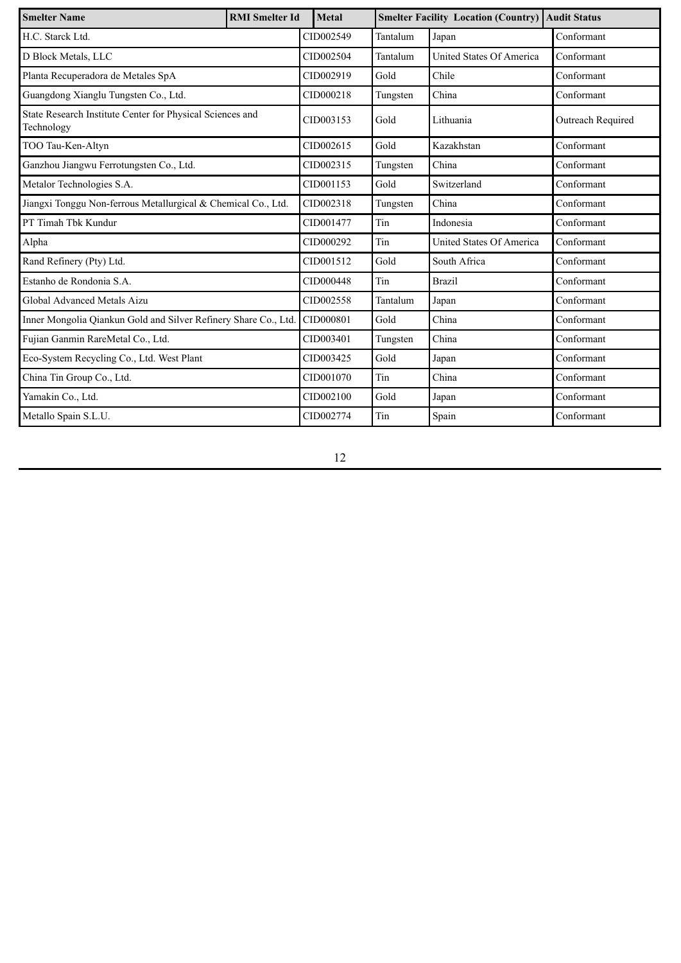| <b>Smelter Name</b>                                                     | <b>RMI</b> Smelter Id | <b>Metal</b> |          | <b>Smelter Facility Location (Country) Audit Status</b> |                   |
|-------------------------------------------------------------------------|-----------------------|--------------|----------|---------------------------------------------------------|-------------------|
| H.C. Starck Ltd.                                                        |                       | CID002549    | Tantalum | Japan                                                   | Conformant        |
| D Block Metals, LLC                                                     |                       | CID002504    | Tantalum | United States Of America                                | Conformant        |
| Planta Recuperadora de Metales SpA                                      |                       | CID002919    | Gold     | Chile                                                   | Conformant        |
| Guangdong Xianglu Tungsten Co., Ltd.                                    |                       | CID000218    | Tungsten | China                                                   | Conformant        |
| State Research Institute Center for Physical Sciences and<br>Technology |                       | CID003153    | Gold     | Lithuania                                               | Outreach Required |
| TOO Tau-Ken-Altyn                                                       |                       | CID002615    | Gold     | Kazakhstan                                              | Conformant        |
| Ganzhou Jiangwu Ferrotungsten Co., Ltd.                                 |                       | CID002315    | Tungsten | China                                                   | Conformant        |
| Metalor Technologies S.A.                                               |                       | CID001153    | Gold     | Switzerland                                             | Conformant        |
| Jiangxi Tonggu Non-ferrous Metallurgical & Chemical Co., Ltd.           |                       | CID002318    | Tungsten | China                                                   | Conformant        |
| PT Timah Tbk Kundur                                                     |                       | CID001477    | Tin      | Indonesia                                               | Conformant        |
| Alpha                                                                   |                       | CID000292    | Tin      | United States Of America                                | Conformant        |
| Rand Refinery (Pty) Ltd.                                                |                       | CID001512    | Gold     | South Africa                                            | Conformant        |
| Estanho de Rondonia S.A.                                                |                       | CID000448    | Tin      | <b>Brazil</b>                                           | Conformant        |
| Global Advanced Metals Aizu                                             |                       | CID002558    | Tantalum | Japan                                                   | Conformant        |
| Inner Mongolia Qiankun Gold and Silver Refinery Share Co., Ltd.         |                       | CID000801    | Gold     | China                                                   | Conformant        |
| Fujian Ganmin RareMetal Co., Ltd.                                       |                       | CID003401    | Tungsten | China                                                   | Conformant        |
| Eco-System Recycling Co., Ltd. West Plant                               |                       | CID003425    | Gold     | Japan                                                   | Conformant        |
| China Tin Group Co., Ltd.                                               |                       | CID001070    | Tin      | China                                                   | Conformant        |
| Yamakin Co., Ltd.                                                       |                       | CID002100    | Gold     | Japan                                                   | Conformant        |
| Metallo Spain S.L.U.                                                    |                       | CID002774    | Tin      | Spain                                                   | Conformant        |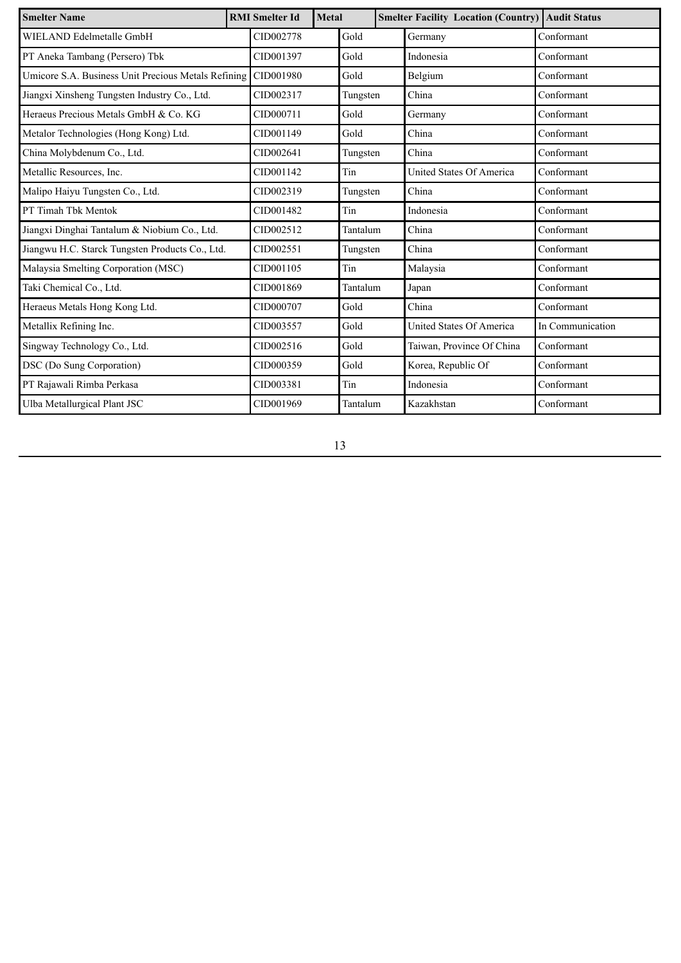| <b>Smelter Name</b>                                 | <b>RMI</b> Smelter Id | <b>Metal</b> |          |  | <b>Smelter Facility Location (Country) Audit Status</b> |                  |
|-----------------------------------------------------|-----------------------|--------------|----------|--|---------------------------------------------------------|------------------|
| WIELAND Edelmetalle GmbH                            | CID002778             |              | Gold     |  | Germany                                                 | Conformant       |
| PT Aneka Tambang (Persero) Tbk                      | CID001397             |              | Gold     |  | Indonesia                                               | Conformant       |
| Umicore S.A. Business Unit Precious Metals Refining | CID001980             |              | Gold     |  | Belgium                                                 | Conformant       |
| Jiangxi Xinsheng Tungsten Industry Co., Ltd.        | CID002317             |              | Tungsten |  | China                                                   | Conformant       |
| Heraeus Precious Metals GmbH & Co. KG               | CID000711             |              | Gold     |  | Germany                                                 | Conformant       |
| Metalor Technologies (Hong Kong) Ltd.               | CID001149             |              | Gold     |  | China                                                   | Conformant       |
| China Molybdenum Co., Ltd.                          | CID002641             |              | Tungsten |  | China                                                   | Conformant       |
| Metallic Resources, Inc.                            | CID001142             |              | Tin      |  | United States Of America                                | Conformant       |
| Malipo Haiyu Tungsten Co., Ltd.                     | CID002319             |              | Tungsten |  | China                                                   | Conformant       |
| PT Timah Tbk Mentok                                 | CID001482             |              | Tin      |  | Indonesia                                               | Conformant       |
| Jiangxi Dinghai Tantalum & Niobium Co., Ltd.        | CID002512             |              | Tantalum |  | China                                                   | Conformant       |
| Jiangwu H.C. Starck Tungsten Products Co., Ltd.     | CID002551             |              | Tungsten |  | China                                                   | Conformant       |
| Malaysia Smelting Corporation (MSC)                 | CID001105             |              | Tin      |  | Malaysia                                                | Conformant       |
| Taki Chemical Co., Ltd.                             | CID001869             |              | Tantalum |  | Japan                                                   | Conformant       |
| Heraeus Metals Hong Kong Ltd.                       | CID000707             |              | Gold     |  | China                                                   | Conformant       |
| Metallix Refining Inc.                              | CID003557             |              | Gold     |  | United States Of America                                | In Communication |
| Singway Technology Co., Ltd.                        | CID002516             |              | Gold     |  | Taiwan, Province Of China                               | Conformant       |
| DSC (Do Sung Corporation)                           | CID000359             |              | Gold     |  | Korea, Republic Of                                      | Conformant       |
| PT Rajawali Rimba Perkasa                           | CID003381             |              | Tin      |  | Indonesia                                               | Conformant       |
| Ulba Metallurgical Plant JSC                        | CID001969             |              | Tantalum |  | Kazakhstan                                              | Conformant       |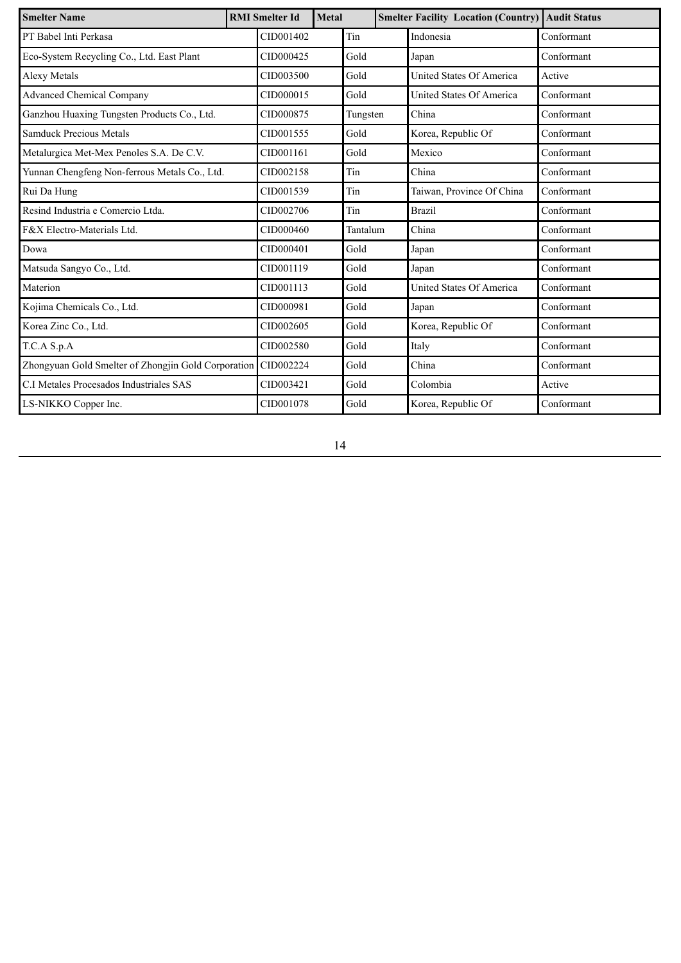| <b>Smelter Name</b>                                           | <b>RMI</b> Smelter Id | Metal |          |  | <b>Smelter Facility Location (Country)</b> Audit Status |            |
|---------------------------------------------------------------|-----------------------|-------|----------|--|---------------------------------------------------------|------------|
| PT Babel Inti Perkasa                                         | CID001402             |       | Tin      |  | Indonesia                                               | Conformant |
| Eco-System Recycling Co., Ltd. East Plant                     | CID000425             |       | Gold     |  | Japan                                                   | Conformant |
| Alexy Metals                                                  | CID003500             |       | Gold     |  | <b>United States Of America</b>                         | Active     |
| <b>Advanced Chemical Company</b>                              | CID000015             |       | Gold     |  | <b>United States Of America</b>                         | Conformant |
| Ganzhou Huaxing Tungsten Products Co., Ltd.                   | CID000875             |       | Tungsten |  | China                                                   | Conformant |
| <b>Samduck Precious Metals</b>                                | CID001555             |       | Gold     |  | Korea, Republic Of                                      | Conformant |
| Metalurgica Met-Mex Penoles S.A. De C.V.                      | CID001161             |       | Gold     |  | Mexico                                                  | Conformant |
| Yunnan Chengfeng Non-ferrous Metals Co., Ltd.                 | CID002158             |       | Tin      |  | China                                                   | Conformant |
| Rui Da Hung                                                   | CID001539             |       | Tin      |  | Taiwan, Province Of China                               | Conformant |
| Resind Industria e Comercio Ltda.                             | CID002706             |       | Tin      |  | <b>Brazil</b>                                           | Conformant |
| F&X Electro-Materials Ltd.                                    | CID000460             |       | Tantalum |  | China                                                   | Conformant |
| Dowa                                                          | CID000401             |       | Gold     |  | Japan                                                   | Conformant |
| Matsuda Sangyo Co., Ltd.                                      | CID001119             |       | Gold     |  | Japan                                                   | Conformant |
| Materion                                                      | CID001113             |       | Gold     |  | <b>United States Of America</b>                         | Conformant |
| Kojima Chemicals Co., Ltd.                                    | CID000981             |       | Gold     |  | Japan                                                   | Conformant |
| Korea Zinc Co., Ltd.                                          | CID002605             |       | Gold     |  | Korea, Republic Of                                      | Conformant |
| T.C.A S.p.A                                                   | CID002580             |       | Gold     |  | Italy                                                   | Conformant |
| Zhongyuan Gold Smelter of Zhongjin Gold Corporation CID002224 |                       |       | Gold     |  | China                                                   | Conformant |
| C.I Metales Procesados Industriales SAS                       | CID003421             |       | Gold     |  | Colombia                                                | Active     |
| LS-NIKKO Copper Inc.                                          | CID001078             |       | Gold     |  | Korea, Republic Of                                      | Conformant |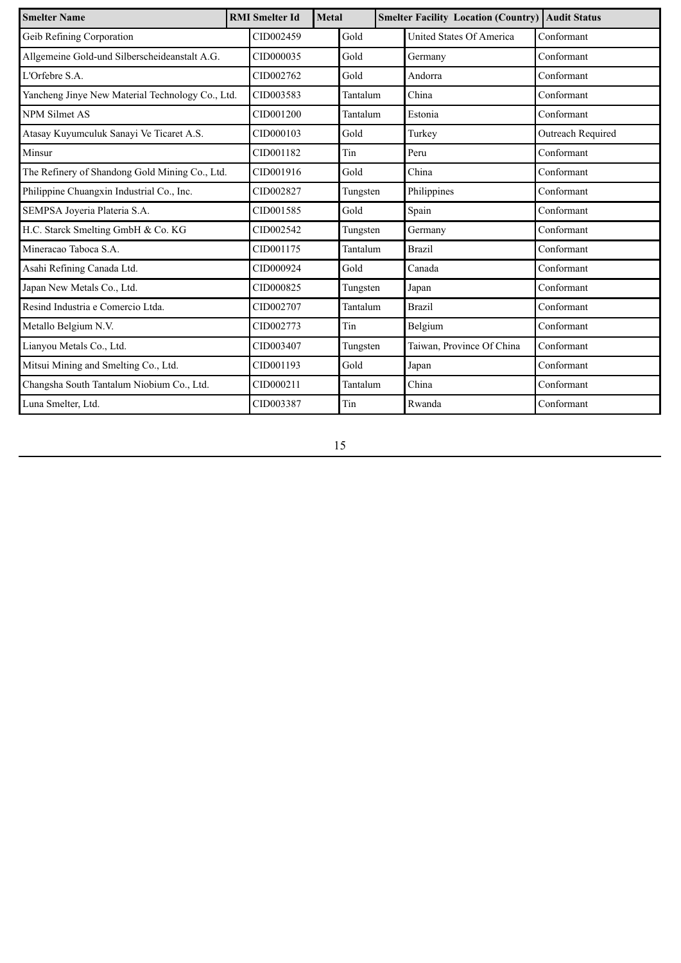| <b>Smelter Name</b>                              | <b>RMI</b> Smelter Id |           | <b>Metal</b> |          |  | <b>Smelter Facility Location (Country) Audit Status</b> |                   |
|--------------------------------------------------|-----------------------|-----------|--------------|----------|--|---------------------------------------------------------|-------------------|
| Geib Refining Corporation                        |                       | CID002459 |              | Gold     |  | United States Of America                                | Conformant        |
| Allgemeine Gold-und Silberscheideanstalt A.G.    |                       | CID000035 |              | Gold     |  | Germany                                                 | Conformant        |
| L'Orfebre S.A.                                   |                       | CID002762 |              | Gold     |  | Andorra                                                 | Conformant        |
| Yancheng Jinye New Material Technology Co., Ltd. |                       | CID003583 |              | Tantalum |  | China                                                   | Conformant        |
| <b>NPM Silmet AS</b>                             |                       | CID001200 |              | Tantalum |  | Estonia                                                 | Conformant        |
| Atasay Kuyumculuk Sanayi Ve Ticaret A.S.         |                       | CID000103 |              | Gold     |  | Turkey                                                  | Outreach Required |
| Minsur                                           |                       | CID001182 |              | Tin      |  | Peru                                                    | Conformant        |
| The Refinery of Shandong Gold Mining Co., Ltd.   |                       | CID001916 |              | Gold     |  | China                                                   | Conformant        |
| Philippine Chuangxin Industrial Co., Inc.        |                       | CID002827 |              | Tungsten |  | Philippines                                             | Conformant        |
| SEMPSA Joyeria Plateria S.A.                     |                       | CID001585 |              | Gold     |  | Spain                                                   | Conformant        |
| H.C. Starck Smelting GmbH & Co. KG               |                       | CID002542 |              | Tungsten |  | Germany                                                 | Conformant        |
| Mineracao Taboca S.A.                            |                       | CID001175 |              | Tantalum |  | <b>Brazil</b>                                           | Conformant        |
| Asahi Refining Canada Ltd.                       |                       | CID000924 |              | Gold     |  | Canada                                                  | Conformant        |
| Japan New Metals Co., Ltd.                       |                       | CID000825 |              | Tungsten |  | Japan                                                   | Conformant        |
| Resind Industria e Comercio Ltda.                |                       | CID002707 |              | Tantalum |  | <b>Brazil</b>                                           | Conformant        |
| Metallo Belgium N.V.                             |                       | CID002773 |              | Tin      |  | Belgium                                                 | Conformant        |
| Lianyou Metals Co., Ltd.                         |                       | CID003407 |              | Tungsten |  | Taiwan, Province Of China                               | Conformant        |
| Mitsui Mining and Smelting Co., Ltd.             |                       | CID001193 |              | Gold     |  | Japan                                                   | Conformant        |
| Changsha South Tantalum Niobium Co., Ltd.        |                       | CID000211 |              | Tantalum |  | China                                                   | Conformant        |
| Luna Smelter, Ltd.                               |                       | CID003387 |              | Tin      |  | Rwanda                                                  | Conformant        |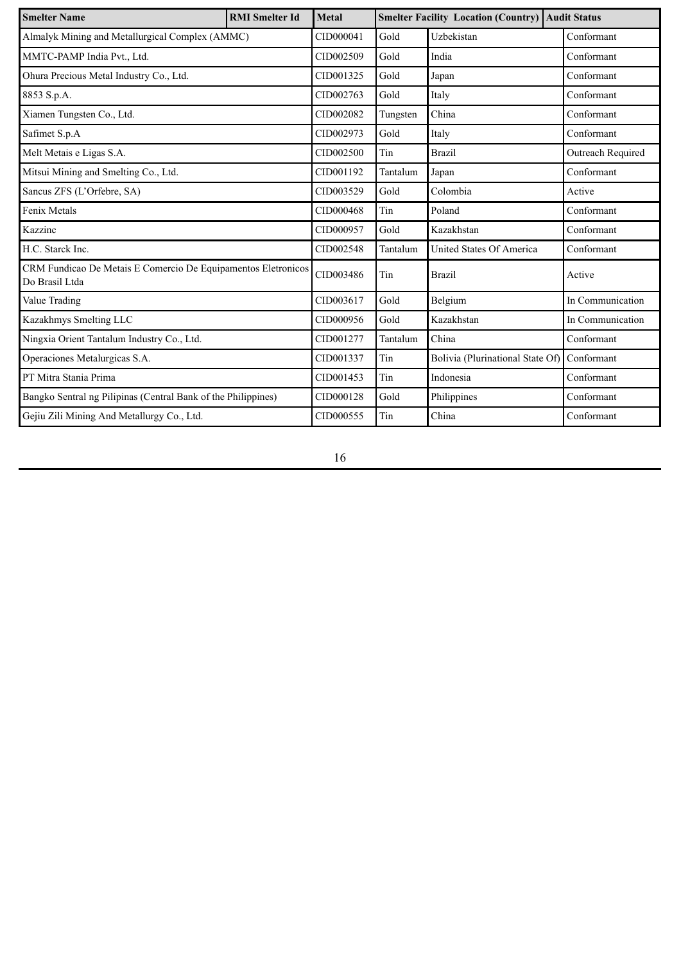| <b>Smelter Name</b>                                                             | <b>RMI</b> Smelter Id | <b>Metal</b> | <b>Smelter Facility Location (Country) Audit Status</b> |                                  |                   |  |
|---------------------------------------------------------------------------------|-----------------------|--------------|---------------------------------------------------------|----------------------------------|-------------------|--|
| Almalyk Mining and Metallurgical Complex (AMMC)                                 |                       | CID000041    | Gold                                                    | Uzbekistan                       | Conformant        |  |
| MMTC-PAMP India Pvt., Ltd.                                                      |                       | CID002509    | Gold                                                    | India                            | Conformant        |  |
| Ohura Precious Metal Industry Co., Ltd.                                         |                       | CID001325    | Gold                                                    | Japan                            | Conformant        |  |
| 8853 S.p.A.                                                                     |                       | CID002763    | Gold                                                    | Italy                            | Conformant        |  |
| Xiamen Tungsten Co., Ltd.                                                       |                       | CID002082    | Tungsten                                                | China                            | Conformant        |  |
| Safimet S.p.A                                                                   |                       | CID002973    | Gold                                                    | Italy                            | Conformant        |  |
| Melt Metais e Ligas S.A.                                                        |                       | CID002500    | Tin                                                     | <b>Brazil</b>                    | Outreach Required |  |
| Mitsui Mining and Smelting Co., Ltd.                                            |                       | CID001192    | Tantalum                                                | Japan                            | Conformant        |  |
| Sancus ZFS (L'Orfebre, SA)                                                      |                       | CID003529    | Gold                                                    | Colombia                         | Active            |  |
| Fenix Metals                                                                    |                       | CID000468    | Tin                                                     | Poland                           | Conformant        |  |
| Kazzinc                                                                         |                       | CID000957    | Gold                                                    | Kazakhstan                       | Conformant        |  |
| H.C. Starck Inc.                                                                |                       | CID002548    | Tantalum                                                | United States Of America         | Conformant        |  |
| CRM Fundicao De Metais E Comercio De Equipamentos Eletronicos<br>Do Brasil Ltda |                       | CID003486    | Tin                                                     | <b>Brazil</b>                    | Active            |  |
| Value Trading                                                                   |                       | CID003617    | Gold                                                    | Belgium                          | In Communication  |  |
| Kazakhmys Smelting LLC                                                          |                       | CID000956    | Gold                                                    | Kazakhstan                       | In Communication  |  |
| Ningxia Orient Tantalum Industry Co., Ltd.                                      |                       | CID001277    | Tantalum                                                | China                            | Conformant        |  |
| Operaciones Metalurgicas S.A.                                                   |                       | CID001337    | Tin                                                     | Bolivia (Plurinational State Of) | Conformant        |  |
| PT Mitra Stania Prima                                                           |                       | CID001453    | Tin                                                     | Indonesia                        | Conformant        |  |
| Bangko Sentral ng Pilipinas (Central Bank of the Philippines)                   |                       | CID000128    | Gold                                                    | Philippines                      | Conformant        |  |
| Gejiu Zili Mining And Metallurgy Co., Ltd.                                      |                       | CID000555    | Tin                                                     | China                            | Conformant        |  |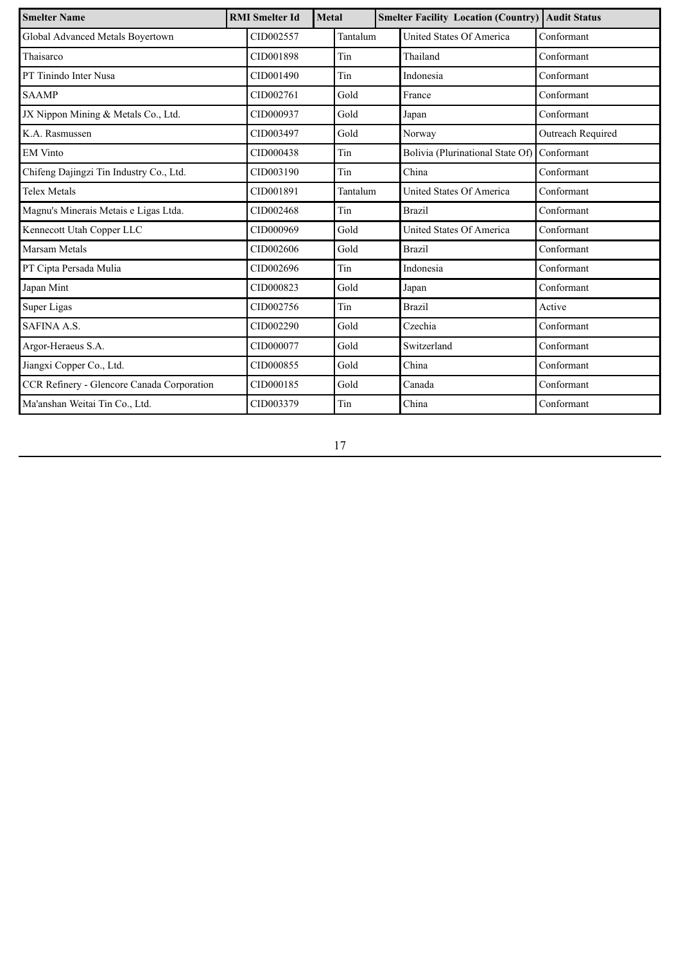| <b>Smelter Name</b>                        | <b>RMI</b> Smelter Id | <b>Metal</b> |          |  | <b>Smelter Facility Location (Country) Audit Status</b> |                          |
|--------------------------------------------|-----------------------|--------------|----------|--|---------------------------------------------------------|--------------------------|
| Global Advanced Metals Boyertown           | CID002557             |              | Tantalum |  | United States Of America                                | Conformant               |
| Thaisarco                                  | CID001898             |              | Tin      |  | Thailand                                                | Conformant               |
| PT Tinindo Inter Nusa                      | CID001490             |              | Tin      |  | Indonesia                                               | Conformant               |
| <b>SAAMP</b>                               | CID002761             |              | Gold     |  | France                                                  | Conformant               |
| JX Nippon Mining & Metals Co., Ltd.        | CID000937             |              | Gold     |  | Japan                                                   | Conformant               |
| K.A. Rasmussen                             | CID003497             |              | Gold     |  | Norway                                                  | <b>Outreach Required</b> |
| <b>EM</b> Vinto                            | CID000438             |              | Tin      |  | Bolivia (Plurinational State Of)                        | Conformant               |
| Chifeng Dajingzi Tin Industry Co., Ltd.    | CID003190             |              | Tin      |  | China                                                   | Conformant               |
| <b>Telex Metals</b>                        | CID001891             |              | Tantalum |  | United States Of America                                | Conformant               |
| Magnu's Minerais Metais e Ligas Ltda.      | CID002468             |              | Tin      |  | <b>Brazil</b>                                           | Conformant               |
| Kennecott Utah Copper LLC                  | CID000969             |              | Gold     |  | United States Of America                                | Conformant               |
| <b>Marsam Metals</b>                       | CID002606             |              | Gold     |  | <b>Brazil</b>                                           | Conformant               |
| PT Cipta Persada Mulia                     | CID002696             |              | Tin      |  | Indonesia                                               | Conformant               |
| Japan Mint                                 | CID000823             |              | Gold     |  | Japan                                                   | Conformant               |
| Super Ligas                                | CID002756             |              | Tin      |  | <b>Brazil</b>                                           | Active                   |
| <b>SAFINA A.S.</b>                         | CID002290             |              | Gold     |  | Czechia                                                 | Conformant               |
| Argor-Heraeus S.A.                         | CID000077             |              | Gold     |  | Switzerland                                             | Conformant               |
| Jiangxi Copper Co., Ltd.                   | CID000855             |              | Gold     |  | China                                                   | Conformant               |
| CCR Refinery - Glencore Canada Corporation | CID000185             |              | Gold     |  | Canada                                                  | Conformant               |
| Ma'anshan Weitai Tin Co., Ltd.             | CID003379             |              | Tin      |  | China                                                   | Conformant               |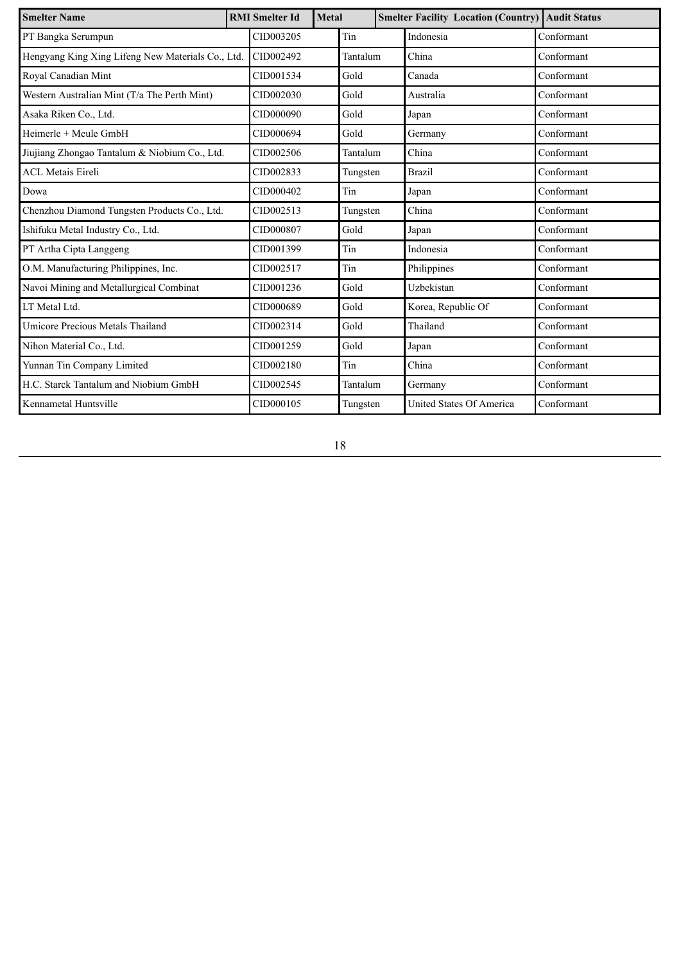| <b>Smelter Name</b>                               | <b>RMI</b> Smelter Id | <b>Metal</b> |          | <b>Smelter Facility Location (Country) Audit Status</b> |            |
|---------------------------------------------------|-----------------------|--------------|----------|---------------------------------------------------------|------------|
| PT Bangka Serumpun                                | CID003205             |              | Tin      | Indonesia                                               | Conformant |
| Hengyang King Xing Lifeng New Materials Co., Ltd. | CID002492             |              | Tantalum | China                                                   | Conformant |
| Royal Canadian Mint                               | CID001534             |              | Gold     | Canada                                                  | Conformant |
| Western Australian Mint (T/a The Perth Mint)      | CID002030             |              | Gold     | Australia                                               | Conformant |
| Asaka Riken Co., Ltd.                             | CID000090             |              | Gold     | Japan                                                   | Conformant |
| Heimerle + Meule GmbH                             | CID000694             |              | Gold     | Germany                                                 | Conformant |
| Jiujiang Zhongao Tantalum & Niobium Co., Ltd.     | CID002506             |              | Tantalum | China                                                   | Conformant |
| <b>ACL Metais Eireli</b>                          | CID002833             |              | Tungsten | <b>Brazil</b>                                           | Conformant |
| Dowa                                              | CID000402             |              | Tin      | Japan                                                   | Conformant |
| Chenzhou Diamond Tungsten Products Co., Ltd.      | CID002513             |              | Tungsten | China                                                   | Conformant |
| Ishifuku Metal Industry Co., Ltd.                 | CID000807             |              | Gold     | Japan                                                   | Conformant |
| PT Artha Cipta Langgeng                           | CID001399             |              | Tin      | Indonesia                                               | Conformant |
| O.M. Manufacturing Philippines, Inc.              | CID002517             |              | Tin      | Philippines                                             | Conformant |
| Navoi Mining and Metallurgical Combinat           | CID001236             |              | Gold     | Uzbekistan                                              | Conformant |
| LT Metal Ltd.                                     | CID000689             |              | Gold     | Korea, Republic Of                                      | Conformant |
| <b>Umicore Precious Metals Thailand</b>           | CID002314             |              | Gold     | Thailand                                                | Conformant |
| Nihon Material Co., Ltd.                          | CID001259             |              | Gold     | Japan                                                   | Conformant |
| Yunnan Tin Company Limited                        | CID002180             |              | Tin      | China                                                   | Conformant |
| H.C. Starck Tantalum and Niobium GmbH             | CID002545             |              | Tantalum | Germany                                                 | Conformant |
| Kennametal Huntsville                             | CID000105             |              | Tungsten | United States Of America                                | Conformant |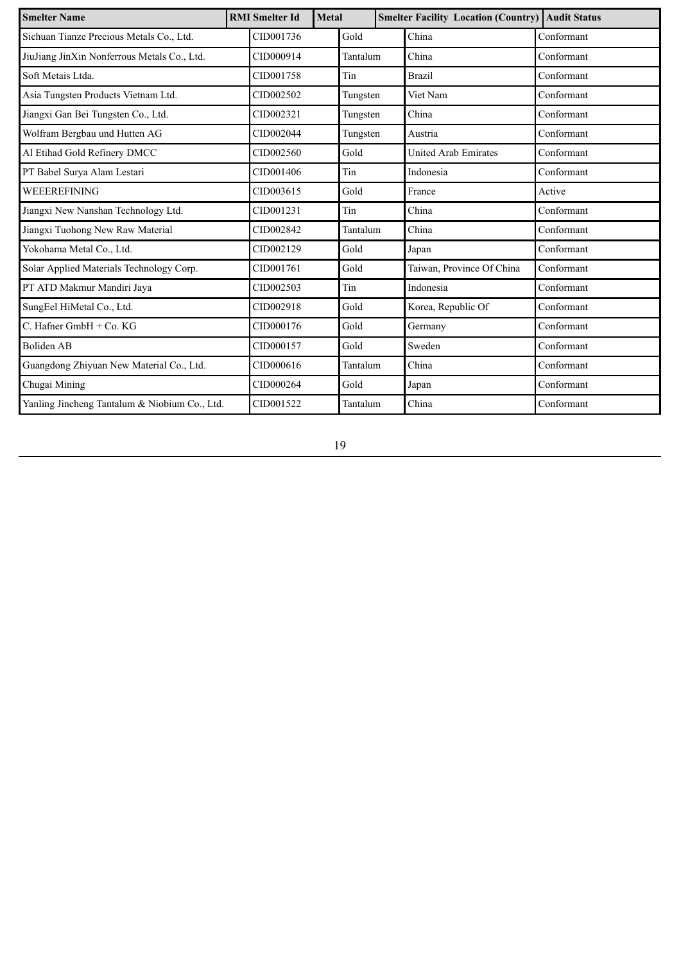| <b>Smelter Name</b>                           | <b>RMI</b> Smelter Id | <b>Metal</b> |          | <b>Smelter Facility Location (Country) Audit Status</b> |            |
|-----------------------------------------------|-----------------------|--------------|----------|---------------------------------------------------------|------------|
| Sichuan Tianze Precious Metals Co., Ltd.      | CID001736             |              | Gold     | China                                                   | Conformant |
| JiuJiang JinXin Nonferrous Metals Co., Ltd.   | CID000914             |              | Tantalum | China                                                   | Conformant |
| Soft Metais Ltda.                             | CID001758             |              | Tin      | <b>Brazil</b>                                           | Conformant |
| Asia Tungsten Products Vietnam Ltd.           | CID002502             |              | Tungsten | Viet Nam                                                | Conformant |
| Jiangxi Gan Bei Tungsten Co., Ltd.            | CID002321             |              | Tungsten | China                                                   | Conformant |
| Wolfram Bergbau und Hutten AG                 | CID002044             |              | Tungsten | Austria                                                 | Conformant |
| Al Etihad Gold Refinery DMCC                  | CID002560             |              | Gold     | United Arab Emirates                                    | Conformant |
| PT Babel Surya Alam Lestari                   | CID001406             |              | Tin      | Indonesia                                               | Conformant |
| WEEEREFINING                                  | CID003615             |              | Gold     | France                                                  | Active     |
| Jiangxi New Nanshan Technology Ltd.           | CID001231             |              | Tin      | China                                                   | Conformant |
| Jiangxi Tuohong New Raw Material              | CID002842             |              | Tantalum | China                                                   | Conformant |
| Yokohama Metal Co., Ltd.                      | CID002129             |              | Gold     | Japan                                                   | Conformant |
| Solar Applied Materials Technology Corp.      | CID001761             |              | Gold     | Taiwan, Province Of China                               | Conformant |
| PT ATD Makmur Mandiri Jaya                    | CID002503             |              | Tin      | Indonesia                                               | Conformant |
| SungEel HiMetal Co., Ltd.                     | CID002918             |              | Gold     | Korea, Republic Of                                      | Conformant |
| C. Hafner GmbH + Co. KG                       | CID000176             |              | Gold     | Germany                                                 | Conformant |
| <b>Boliden AB</b>                             | CID000157             |              | Gold     | Sweden                                                  | Conformant |
| Guangdong Zhiyuan New Material Co., Ltd.      | CID000616             |              | Tantalum | China                                                   | Conformant |
| Chugai Mining                                 | CID000264             |              | Gold     | Japan                                                   | Conformant |
| Yanling Jincheng Tantalum & Niobium Co., Ltd. | CID001522             |              | Tantalum | China                                                   | Conformant |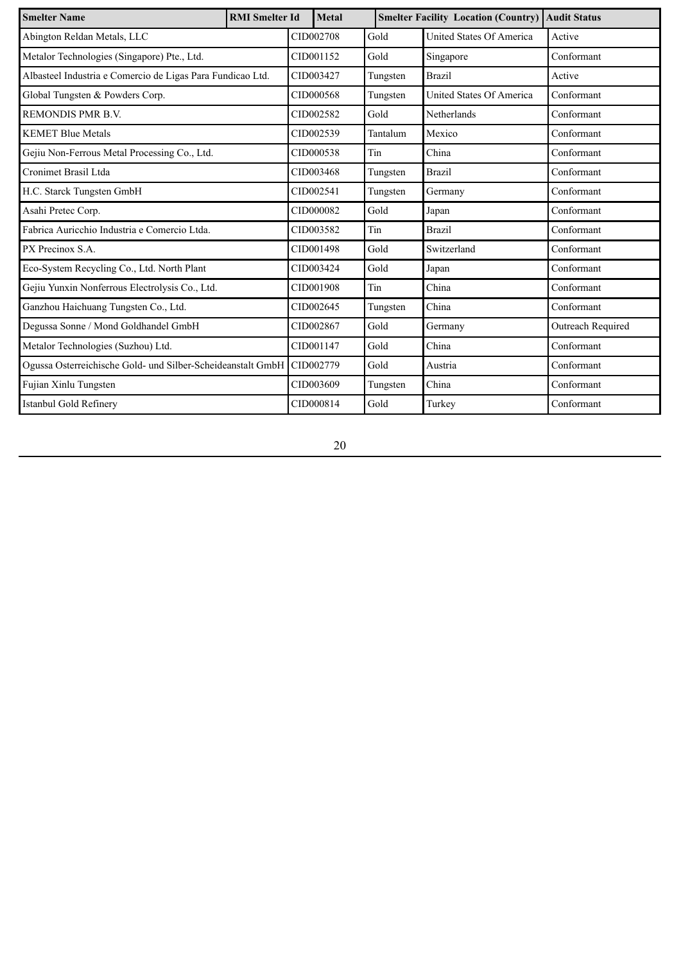| <b>Smelter Name</b>                                         | <b>RMI</b> Smelter Id | <b>Metal</b> |          | <b>Smelter Facility Location (Country) Audit Status</b> |                   |
|-------------------------------------------------------------|-----------------------|--------------|----------|---------------------------------------------------------|-------------------|
| Abington Reldan Metals, LLC                                 |                       | CID002708    | Gold     | <b>United States Of America</b>                         | Active            |
| Metalor Technologies (Singapore) Pte., Ltd.                 |                       | CID001152    | Gold     | Singapore                                               | Conformant        |
| Albasteel Industria e Comercio de Ligas Para Fundicao Ltd.  |                       | CID003427    | Tungsten | <b>Brazil</b>                                           | Active            |
| Global Tungsten & Powders Corp.                             |                       | CID000568    | Tungsten | United States Of America                                | Conformant        |
| <b>REMONDIS PMR B.V.</b>                                    |                       | CID002582    | Gold     | Netherlands                                             | Conformant        |
| <b>KEMET Blue Metals</b>                                    |                       | CID002539    | Tantalum | Mexico                                                  | Conformant        |
| Gejiu Non-Ferrous Metal Processing Co., Ltd.                |                       | CID000538    | Tin      | China                                                   | Conformant        |
| Cronimet Brasil Ltda                                        |                       | CID003468    | Tungsten | <b>Brazil</b>                                           | Conformant        |
| H.C. Starck Tungsten GmbH                                   |                       | CID002541    | Tungsten | Germany                                                 | Conformant        |
| Asahi Pretec Corp.                                          |                       | CID000082    | Gold     | Japan                                                   | Conformant        |
| Fabrica Auricchio Industria e Comercio Ltda.                |                       | CID003582    | Tin      | <b>Brazil</b>                                           | Conformant        |
| PX Precinox S.A.                                            |                       | CID001498    | Gold     | Switzerland                                             | Conformant        |
| Eco-System Recycling Co., Ltd. North Plant                  |                       | CID003424    | Gold     | Japan                                                   | Conformant        |
| Gejiu Yunxin Nonferrous Electrolysis Co., Ltd.              |                       | CID001908    | Tin      | China                                                   | Conformant        |
| Ganzhou Haichuang Tungsten Co., Ltd.                        |                       | CID002645    | Tungsten | China                                                   | Conformant        |
| Degussa Sonne / Mond Goldhandel GmbH                        |                       | CID002867    | Gold     | Germany                                                 | Outreach Required |
| Metalor Technologies (Suzhou) Ltd.                          |                       | CID001147    | Gold     | China                                                   | Conformant        |
| Ogussa Osterreichische Gold- und Silber-Scheideanstalt GmbH |                       | CID002779    | Gold     | Austria                                                 | Conformant        |
| Fujian Xinlu Tungsten                                       |                       | CID003609    | Tungsten | China                                                   | Conformant        |
| Istanbul Gold Refinery                                      |                       | CID000814    | Gold     | Turkey                                                  | Conformant        |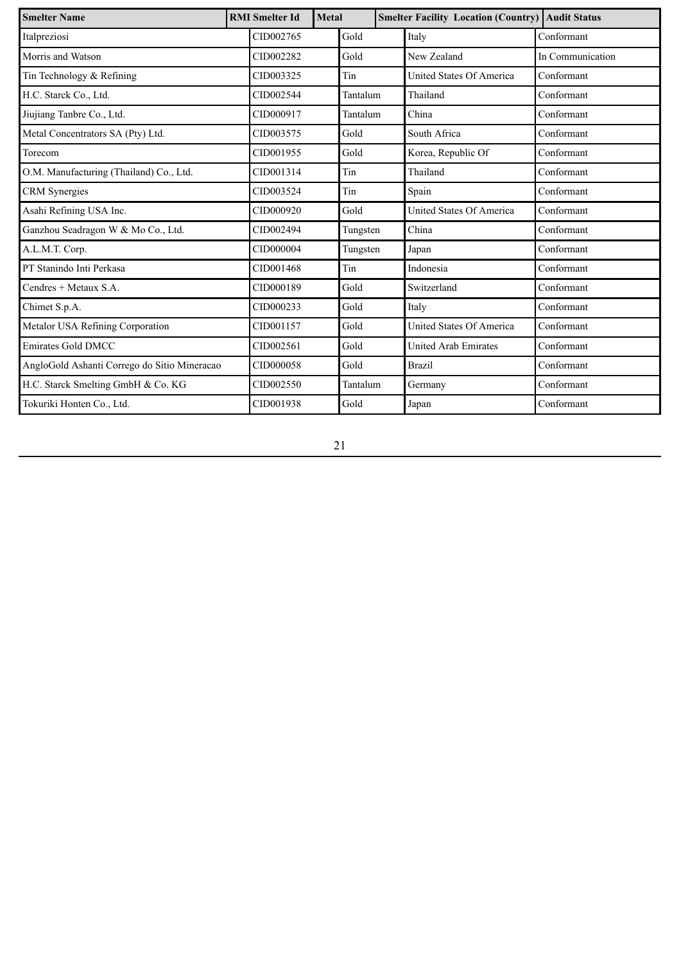| <b>Smelter Name</b>                          | <b>RMI</b> Smelter Id | Metal |          |          | <b>Smelter Facility Location (Country) Audit Status</b> |                  |
|----------------------------------------------|-----------------------|-------|----------|----------|---------------------------------------------------------|------------------|
| Italpreziosi                                 | CID002765             |       | Gold     |          | Italy                                                   | Conformant       |
| Morris and Watson                            | CID002282             |       | Gold     |          | New Zealand                                             | In Communication |
| Tin Technology & Refining                    | CID003325             |       | Tin      |          | <b>United States Of America</b>                         | Conformant       |
| H.C. Starck Co., Ltd.                        | CID002544             |       | Tantalum |          | Thailand                                                | Conformant       |
| Jiujiang Tanbre Co., Ltd.                    | CID000917             |       | Tantalum |          | China                                                   | Conformant       |
| Metal Concentrators SA (Pty) Ltd.            | CID003575             |       | Gold     |          | South Africa                                            | Conformant       |
| Torecom                                      | CID001955             |       | Gold     |          | Korea, Republic Of                                      | Conformant       |
| O.M. Manufacturing (Thailand) Co., Ltd.      | CID001314             |       | Tin      |          | Thailand                                                | Conformant       |
| <b>CRM</b> Synergies                         | CID003524             |       |          |          | Spain                                                   | Conformant       |
| Asahi Refining USA Inc.                      | CID000920             |       | Gold     |          | United States Of America                                | Conformant       |
| Ganzhou Seadragon W & Mo Co., Ltd.           | CID002494             |       |          | Tungsten | China                                                   | Conformant       |
| A.L.M.T. Corp.                               | CID000004             |       |          | Tungsten | Japan                                                   | Conformant       |
| PT Stanindo Inti Perkasa                     | CID001468             |       | Tin      |          | Indonesia                                               | Conformant       |
| $Cendres + Metaux S.A.$                      | CID000189             |       | Gold     |          | Switzerland                                             | Conformant       |
| Chimet S.p.A.                                | CID000233             |       | Gold     |          | Italy                                                   | Conformant       |
| Metalor USA Refining Corporation             | CID001157             |       | Gold     |          | United States Of America                                | Conformant       |
| <b>Emirates Gold DMCC</b>                    | CID002561             |       |          |          | <b>United Arab Emirates</b>                             | Conformant       |
| AngloGold Ashanti Corrego do Sitio Mineracao | CID000058             |       |          |          | <b>Brazil</b>                                           | Conformant       |
| H.C. Starck Smelting GmbH & Co. KG           | CID002550             |       | Tantalum |          | Germany                                                 | Conformant       |
| Tokuriki Honten Co., Ltd.                    | CID001938             |       | Gold     |          | Japan                                                   | Conformant       |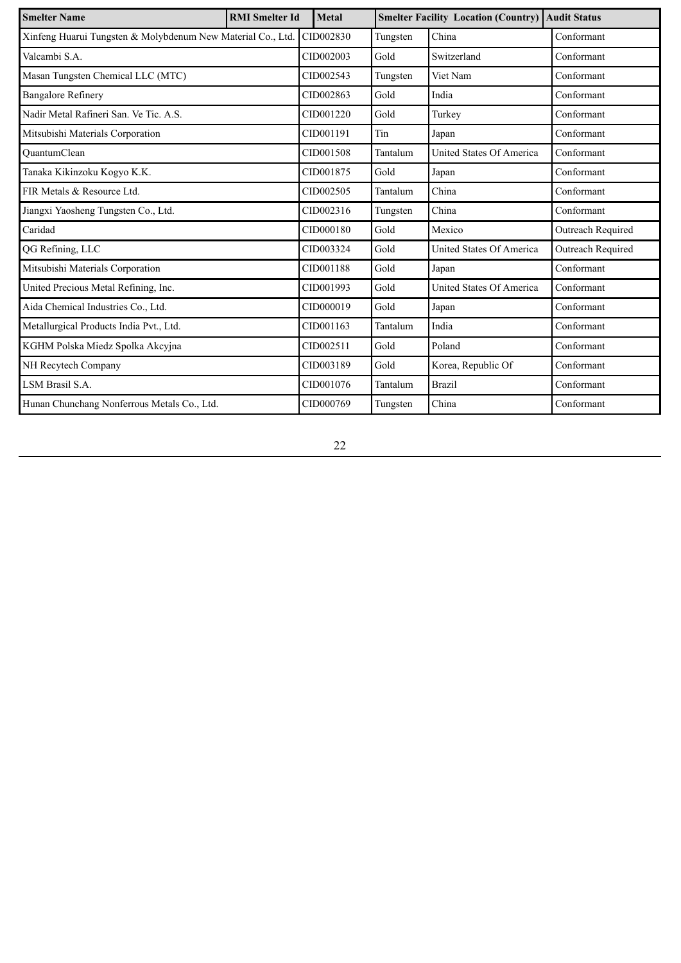| <b>Smelter Name</b>                                         | <b>RMI</b> Smelter Id | Metal     |  | <b>Smelter Facility Location (Country)</b> Audit Status |                                 |                   |               |            |
|-------------------------------------------------------------|-----------------------|-----------|--|---------------------------------------------------------|---------------------------------|-------------------|---------------|------------|
| Xinfeng Huarui Tungsten & Molybdenum New Material Co., Ltd. |                       | CID002830 |  | Tungsten                                                | China                           | Conformant        |               |            |
| Valcambi S.A.                                               |                       | CID002003 |  | Gold                                                    | Switzerland                     | Conformant        |               |            |
| Masan Tungsten Chemical LLC (MTC)                           |                       | CID002543 |  | Tungsten                                                | Viet Nam                        | Conformant        |               |            |
| <b>Bangalore Refinery</b>                                   |                       | CID002863 |  | Gold                                                    | India                           | Conformant        |               |            |
| Nadir Metal Rafineri San. Ve Tic. A.S.                      |                       | CID001220 |  | Gold                                                    | Turkey                          | Conformant        |               |            |
| Mitsubishi Materials Corporation                            |                       | CID001191 |  | Tin                                                     | Japan                           | Conformant        |               |            |
| OuantumClean                                                |                       | CID001508 |  | Tantalum                                                | <b>United States Of America</b> | Conformant        |               |            |
| Tanaka Kikinzoku Kogyo K.K.                                 |                       | CID001875 |  | Gold                                                    | Japan                           | Conformant        |               |            |
| FIR Metals & Resource Ltd.                                  |                       | CID002505 |  | Tantalum                                                | China                           | Conformant        |               |            |
| Jiangxi Yaosheng Tungsten Co., Ltd.                         |                       | CID002316 |  | Tungsten                                                | China                           | Conformant        |               |            |
| Caridad                                                     |                       | CID000180 |  | Gold                                                    | Mexico                          | Outreach Required |               |            |
| QG Refining, LLC                                            |                       | CID003324 |  | Gold                                                    | <b>United States Of America</b> | Outreach Required |               |            |
| Mitsubishi Materials Corporation                            |                       | CID001188 |  | Gold                                                    | Japan                           | Conformant        |               |            |
| United Precious Metal Refining, Inc.                        |                       | CID001993 |  | Gold                                                    | <b>United States Of America</b> | Conformant        |               |            |
| Aida Chemical Industries Co., Ltd.                          |                       | CID000019 |  | Gold                                                    | Japan                           | Conformant        |               |            |
| Metallurgical Products India Pvt., Ltd.                     |                       | CID001163 |  | Tantalum                                                | India                           | Conformant        |               |            |
| KGHM Polska Miedz Spolka Akcyjna                            |                       | CID002511 |  | Gold                                                    | Poland                          | Conformant        |               |            |
| NH Recytech Company                                         |                       | CID003189 |  | Gold                                                    | Korea, Republic Of              | Conformant        |               |            |
| LSM Brasil S.A.                                             |                       | CID001076 |  |                                                         |                                 | Tantalum          | <b>Brazil</b> | Conformant |
| Hunan Chunchang Nonferrous Metals Co., Ltd.                 |                       | CID000769 |  | Tungsten                                                | China                           | Conformant        |               |            |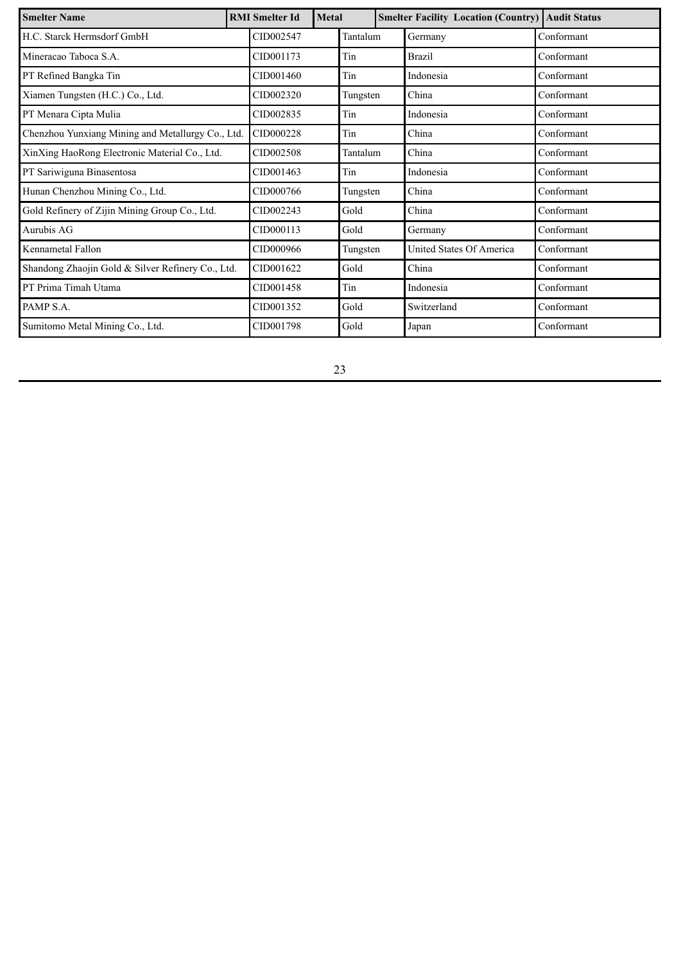| <b>Smelter Name</b>                               | <b>RMI</b> Smelter Id | <b>Metal</b> |          | <b>Smelter Facility Location (Country)</b> | <b>Audit Status</b> |
|---------------------------------------------------|-----------------------|--------------|----------|--------------------------------------------|---------------------|
| H.C. Starck Hermsdorf GmbH                        | CID002547             |              | Tantalum | Germany                                    | Conformant          |
| Mineracao Taboca S.A.                             | CID001173             |              | Tin      | <b>Brazil</b>                              | Conformant          |
| PT Refined Bangka Tin                             | CID001460             |              | Tin      | Indonesia                                  | Conformant          |
| Xiamen Tungsten (H.C.) Co., Ltd.                  | CID002320             |              | Tungsten | China                                      | Conformant          |
| PT Menara Cipta Mulia                             | CID002835             |              | Tin      | Indonesia                                  | Conformant          |
| Chenzhou Yunxiang Mining and Metallurgy Co., Ltd. | CID000228             |              | Tin      | China                                      | Conformant          |
| XinXing HaoRong Electronic Material Co., Ltd.     | CID002508             |              | Tantalum | China                                      | Conformant          |
| PT Sariwiguna Binasentosa                         | CID001463             |              | Tin      | Indonesia                                  | Conformant          |
| Hunan Chenzhou Mining Co., Ltd.                   | CID000766             |              | Tungsten | China                                      | Conformant          |
| Gold Refinery of Zijin Mining Group Co., Ltd.     | CID002243             |              | Gold     | China                                      | Conformant          |
| Aurubis AG                                        | CID000113             |              | Gold     | Germany                                    | Conformant          |
| Kennametal Fallon                                 | CID000966             |              | Tungsten | United States Of America                   | Conformant          |
| Shandong Zhaojin Gold & Silver Refinery Co., Ltd. | CID001622             |              | Gold     | China                                      | Conformant          |
| PT Prima Timah Utama                              | CID001458             |              | Tin      | Indonesia                                  | Conformant          |
| PAMP S.A.                                         | CID001352             |              | Gold     | Switzerland                                | Conformant          |
| Sumitomo Metal Mining Co., Ltd.                   | CID001798             |              | Gold     | Japan                                      | Conformant          |